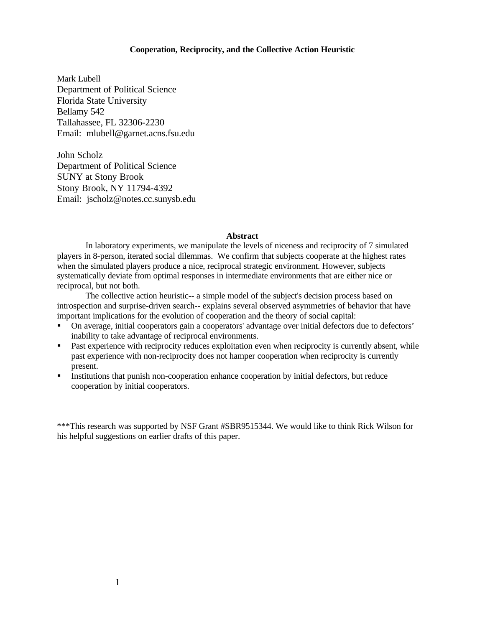# **Cooperation, Reciprocity, and the Collective Action Heuristic**

Mark Lubell Department of Political Science Florida State University Bellamy 542 Tallahassee, FL 32306-2230 Email: mlubell@garnet.acns.fsu.edu

John Scholz Department of Political Science SUNY at Stony Brook Stony Brook, NY 11794-4392 Email: jscholz@notes.cc.sunysb.edu

#### **Abstract**

In laboratory experiments, we manipulate the levels of niceness and reciprocity of 7 simulated players in 8-person, iterated social dilemmas. We confirm that subjects cooperate at the highest rates when the simulated players produce a nice, reciprocal strategic environment. However, subjects systematically deviate from optimal responses in intermediate environments that are either nice or reciprocal, but not both.

The collective action heuristic-- a simple model of the subject's decision process based on introspection and surprise-driven search-- explains several observed asymmetries of behavior that have important implications for the evolution of cooperation and the theory of social capital:

- On average, initial cooperators gain a cooperators' advantage over initial defectors due to defectors' inability to take advantage of reciprocal environments.
- Past experience with reciprocity reduces exploitation even when reciprocity is currently absent, while past experience with non-reciprocity does not hamper cooperation when reciprocity is currently present.
- **Institutions that punish non-cooperation enhance cooperation by initial defectors, but reduce** cooperation by initial cooperators.

\*\*\*This research was supported by NSF Grant #SBR9515344. We would like to think Rick Wilson for his helpful suggestions on earlier drafts of this paper.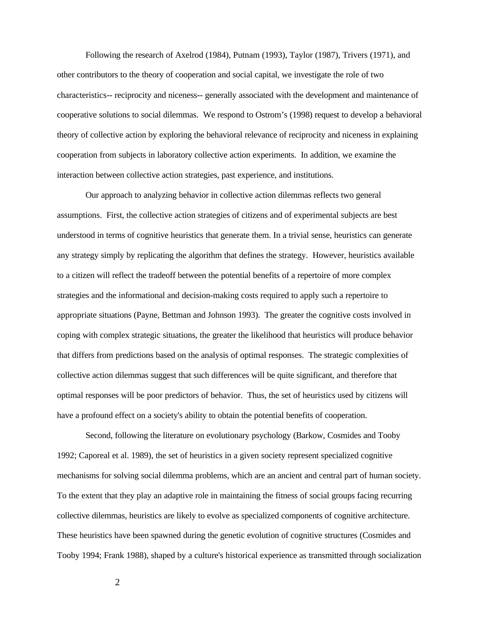Following the research of Axelrod (1984), Putnam (1993), Taylor (1987), Trivers (1971), and other contributors to the theory of cooperation and social capital, we investigate the role of two characteristics-- reciprocity and niceness-- generally associated with the development and maintenance of cooperative solutions to social dilemmas. We respond to Ostrom's (1998) request to develop a behavioral theory of collective action by exploring the behavioral relevance of reciprocity and niceness in explaining cooperation from subjects in laboratory collective action experiments. In addition, we examine the interaction between collective action strategies, past experience, and institutions.

Our approach to analyzing behavior in collective action dilemmas reflects two general assumptions. First, the collective action strategies of citizens and of experimental subjects are best understood in terms of cognitive heuristics that generate them. In a trivial sense, heuristics can generate any strategy simply by replicating the algorithm that defines the strategy. However, heuristics available to a citizen will reflect the tradeoff between the potential benefits of a repertoire of more complex strategies and the informational and decision-making costs required to apply such a repertoire to appropriate situations (Payne, Bettman and Johnson 1993). The greater the cognitive costs involved in coping with complex strategic situations, the greater the likelihood that heuristics will produce behavior that differs from predictions based on the analysis of optimal responses. The strategic complexities of collective action dilemmas suggest that such differences will be quite significant, and therefore that optimal responses will be poor predictors of behavior. Thus, the set of heuristics used by citizens will have a profound effect on a society's ability to obtain the potential benefits of cooperation.

Second, following the literature on evolutionary psychology (Barkow, Cosmides and Tooby 1992; Caporeal et al. 1989), the set of heuristics in a given society represent specialized cognitive mechanisms for solving social dilemma problems, which are an ancient and central part of human society. To the extent that they play an adaptive role in maintaining the fitness of social groups facing recurring collective dilemmas, heuristics are likely to evolve as specialized components of cognitive architecture. These heuristics have been spawned during the genetic evolution of cognitive structures (Cosmides and Tooby 1994; Frank 1988), shaped by a culture's historical experience as transmitted through socialization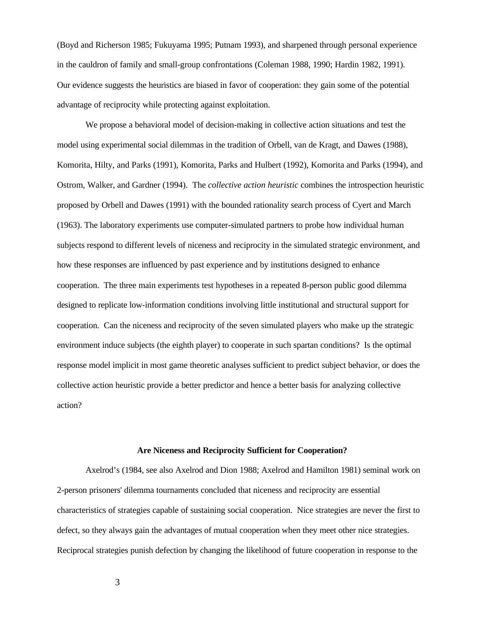(Boyd and Richerson 1985; Fukuyama 1995; Putnam 1993), and sharpened through personal experience in the cauldron of family and small-group confrontations (Coleman 1988, 1990; Hardin 1982, 1991). Our evidence suggests the heuristics are biased in favor of cooperation: they gain some of the potential advantage of reciprocity while protecting against exploitation.

We propose a behavioral model of decision-making in collective action situations and test the model using experimental social dilemmas in the tradition of Orbell, van de Kragt, and Dawes (1988), Komorita, Hilty, and Parks (1991), Komorita, Parks and Hulbert (1992), Komorita and Parks (1994), and Ostrom, Walker, and Gardner (1994). The *collective action heuristic* combines the introspection heuristic proposed by Orbell and Dawes (1991) with the bounded rationality search process of Cyert and March (1963). The laboratory experiments use computer-simulated partners to probe how individual human subjects respond to different levels of niceness and reciprocity in the simulated strategic environment, and how these responses are influenced by past experience and by institutions designed to enhance cooperation. The three main experiments test hypotheses in a repeated 8-person public good dilemma designed to replicate low-information conditions involving little institutional and structural support for cooperation. Can the niceness and reciprocity of the seven simulated players who make up the strategic environment induce subjects (the eighth player) to cooperate in such spartan conditions? Is the optimal response model implicit in most game theoretic analyses sufficient to predict subject behavior, or does the collective action heuristic provide a better predictor and hence a better basis for analyzing collective action?

#### **Are Niceness and Reciprocity Sufficient for Cooperation?**

Axelrod's (1984, see also Axelrod and Dion 1988; Axelrod and Hamilton 1981) seminal work on 2-person prisoners' dilemma tournaments concluded that niceness and reciprocity are essential characteristics of strategies capable of sustaining social cooperation. Nice strategies are never the first to defect, so they always gain the advantages of mutual cooperation when they meet other nice strategies. Reciprocal strategies punish defection by changing the likelihood of future cooperation in response to the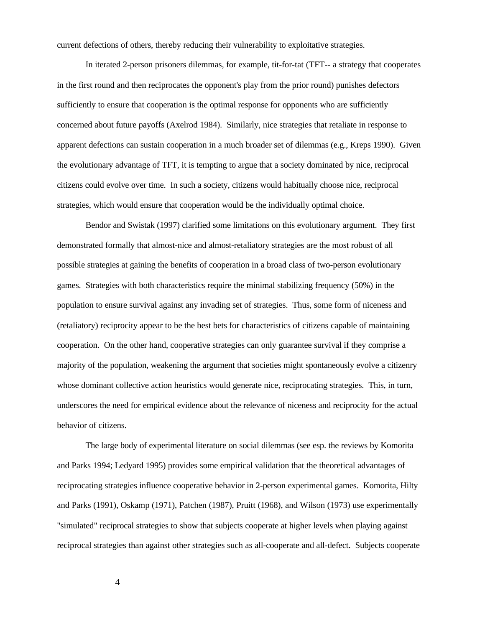current defections of others, thereby reducing their vulnerability to exploitative strategies.

In iterated 2-person prisoners dilemmas, for example, tit-for-tat (TFT-- a strategy that cooperates in the first round and then reciprocates the opponent's play from the prior round) punishes defectors sufficiently to ensure that cooperation is the optimal response for opponents who are sufficiently concerned about future payoffs (Axelrod 1984). Similarly, nice strategies that retaliate in response to apparent defections can sustain cooperation in a much broader set of dilemmas (e.g., Kreps 1990). Given the evolutionary advantage of TFT, it is tempting to argue that a society dominated by nice, reciprocal citizens could evolve over time. In such a society, citizens would habitually choose nice, reciprocal strategies, which would ensure that cooperation would be the individually optimal choice.

Bendor and Swistak (1997) clarified some limitations on this evolutionary argument. They first demonstrated formally that almost-nice and almost-retaliatory strategies are the most robust of all possible strategies at gaining the benefits of cooperation in a broad class of two-person evolutionary games. Strategies with both characteristics require the minimal stabilizing frequency (50%) in the population to ensure survival against any invading set of strategies. Thus, some form of niceness and (retaliatory) reciprocity appear to be the best bets for characteristics of citizens capable of maintaining cooperation. On the other hand, cooperative strategies can only guarantee survival if they comprise a majority of the population, weakening the argument that societies might spontaneously evolve a citizenry whose dominant collective action heuristics would generate nice, reciprocating strategies. This, in turn, underscores the need for empirical evidence about the relevance of niceness and reciprocity for the actual behavior of citizens.

The large body of experimental literature on social dilemmas (see esp. the reviews by Komorita and Parks 1994; Ledyard 1995) provides some empirical validation that the theoretical advantages of reciprocating strategies influence cooperative behavior in 2-person experimental games. Komorita, Hilty and Parks (1991), Oskamp (1971), Patchen (1987), Pruitt (1968), and Wilson (1973) use experimentally "simulated" reciprocal strategies to show that subjects cooperate at higher levels when playing against reciprocal strategies than against other strategies such as all-cooperate and all-defect. Subjects cooperate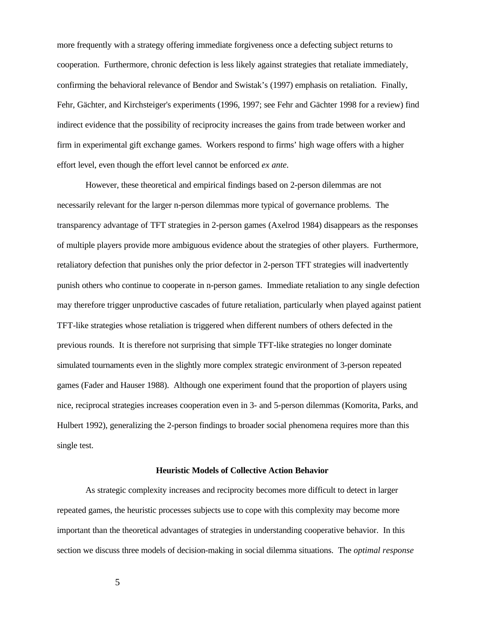more frequently with a strategy offering immediate forgiveness once a defecting subject returns to cooperation. Furthermore, chronic defection is less likely against strategies that retaliate immediately, confirming the behavioral relevance of Bendor and Swistak's (1997) emphasis on retaliation. Finally, Fehr, Gächter, and Kirchsteiger's experiments (1996, 1997; see Fehr and Gächter 1998 for a review) find indirect evidence that the possibility of reciprocity increases the gains from trade between worker and firm in experimental gift exchange games. Workers respond to firms' high wage offers with a higher effort level, even though the effort level cannot be enforced *ex ante*.

However, these theoretical and empirical findings based on 2-person dilemmas are not necessarily relevant for the larger n-person dilemmas more typical of governance problems. The transparency advantage of TFT strategies in 2-person games (Axelrod 1984) disappears as the responses of multiple players provide more ambiguous evidence about the strategies of other players. Furthermore, retaliatory defection that punishes only the prior defector in 2-person TFT strategies will inadvertently punish others who continue to cooperate in n-person games. Immediate retaliation to any single defection may therefore trigger unproductive cascades of future retaliation, particularly when played against patient TFT-like strategies whose retaliation is triggered when different numbers of others defected in the previous rounds. It is therefore not surprising that simple TFT-like strategies no longer dominate simulated tournaments even in the slightly more complex strategic environment of 3-person repeated games (Fader and Hauser 1988). Although one experiment found that the proportion of players using nice, reciprocal strategies increases cooperation even in 3- and 5-person dilemmas (Komorita, Parks, and Hulbert 1992), generalizing the 2-person findings to broader social phenomena requires more than this single test.

# **Heuristic Models of Collective Action Behavior**

As strategic complexity increases and reciprocity becomes more difficult to detect in larger repeated games, the heuristic processes subjects use to cope with this complexity may become more important than the theoretical advantages of strategies in understanding cooperative behavior. In this section we discuss three models of decision-making in social dilemma situations. The *optimal response*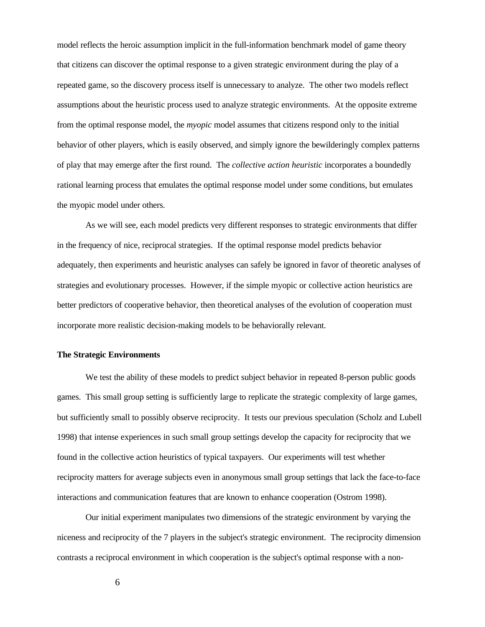model reflects the heroic assumption implicit in the full-information benchmark model of game theory that citizens can discover the optimal response to a given strategic environment during the play of a repeated game, so the discovery process itself is unnecessary to analyze. The other two models reflect assumptions about the heuristic process used to analyze strategic environments. At the opposite extreme from the optimal response model, the *myopic* model assumes that citizens respond only to the initial behavior of other players, which is easily observed, and simply ignore the bewilderingly complex patterns of play that may emerge after the first round. The *collective action heuristic* incorporates a boundedly rational learning process that emulates the optimal response model under some conditions, but emulates the myopic model under others.

As we will see, each model predicts very different responses to strategic environments that differ in the frequency of nice, reciprocal strategies. If the optimal response model predicts behavior adequately, then experiments and heuristic analyses can safely be ignored in favor of theoretic analyses of strategies and evolutionary processes. However, if the simple myopic or collective action heuristics are better predictors of cooperative behavior, then theoretical analyses of the evolution of cooperation must incorporate more realistic decision-making models to be behaviorally relevant.

# **The Strategic Environments**

We test the ability of these models to predict subject behavior in repeated 8-person public goods games. This small group setting is sufficiently large to replicate the strategic complexity of large games, but sufficiently small to possibly observe reciprocity. It tests our previous speculation (Scholz and Lubell 1998) that intense experiences in such small group settings develop the capacity for reciprocity that we found in the collective action heuristics of typical taxpayers. Our experiments will test whether reciprocity matters for average subjects even in anonymous small group settings that lack the face-to-face interactions and communication features that are known to enhance cooperation (Ostrom 1998).

Our initial experiment manipulates two dimensions of the strategic environment by varying the niceness and reciprocity of the 7 players in the subject's strategic environment. The reciprocity dimension contrasts a reciprocal environment in which cooperation is the subject's optimal response with a non-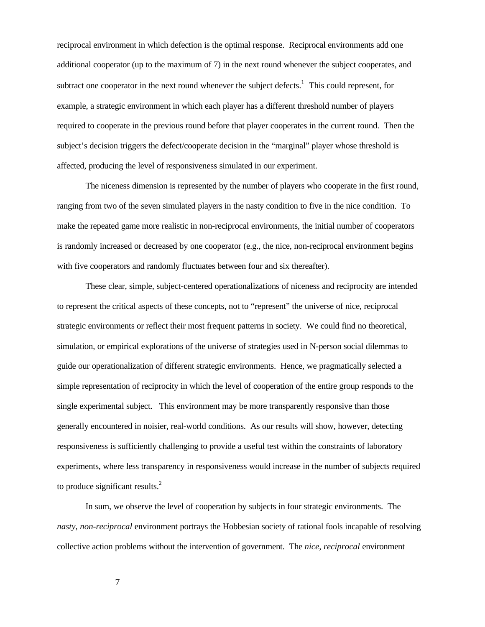reciprocal environment in which defection is the optimal response. Reciprocal environments add one additional cooperator (up to the maximum of 7) in the next round whenever the subject cooperates, and subtract one cooperator in the next round whenever the subject defects.<sup>1</sup> This could represent, for example, a strategic environment in which each player has a different threshold number of players required to cooperate in the previous round before that player cooperates in the current round. Then the subject's decision triggers the defect/cooperate decision in the "marginal" player whose threshold is affected, producing the level of responsiveness simulated in our experiment.

The niceness dimension is represented by the number of players who cooperate in the first round, ranging from two of the seven simulated players in the nasty condition to five in the nice condition. To make the repeated game more realistic in non-reciprocal environments, the initial number of cooperators is randomly increased or decreased by one cooperator (e.g., the nice, non-reciprocal environment begins with five cooperators and randomly fluctuates between four and six thereafter).

These clear, simple, subject-centered operationalizations of niceness and reciprocity are intended to represent the critical aspects of these concepts, not to "represent" the universe of nice, reciprocal strategic environments or reflect their most frequent patterns in society. We could find no theoretical, simulation, or empirical explorations of the universe of strategies used in N-person social dilemmas to guide our operationalization of different strategic environments. Hence, we pragmatically selected a simple representation of reciprocity in which the level of cooperation of the entire group responds to the single experimental subject. This environment may be more transparently responsive than those generally encountered in noisier, real-world conditions. As our results will show, however, detecting responsiveness is sufficiently challenging to provide a useful test within the constraints of laboratory experiments, where less transparency in responsiveness would increase in the number of subjects required to produce significant results.<sup>2</sup>

In sum, we observe the level of cooperation by subjects in four strategic environments. The *nasty, non-reciprocal* environment portrays the Hobbesian society of rational fools incapable of resolving collective action problems without the intervention of government. The *nice, reciprocal* environment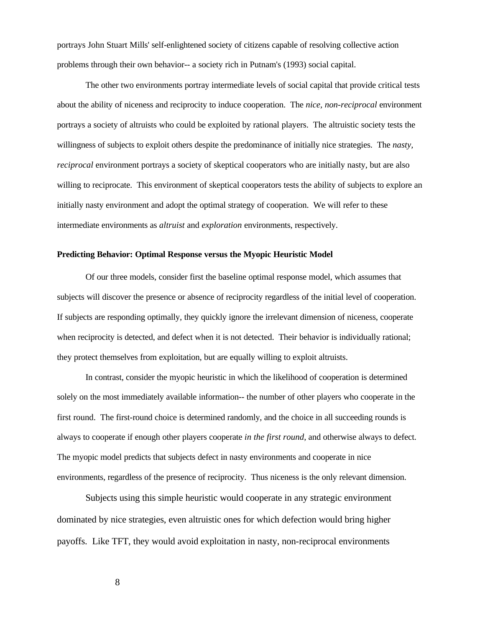portrays John Stuart Mills' self-enlightened society of citizens capable of resolving collective action problems through their own behavior-- a society rich in Putnam's (1993) social capital.

The other two environments portray intermediate levels of social capital that provide critical tests about the ability of niceness and reciprocity to induce cooperation. The *nice, non-reciprocal* environment portrays a society of altruists who could be exploited by rational players. The altruistic society tests the willingness of subjects to exploit others despite the predominance of initially nice strategies. The *nasty, reciprocal* environment portrays a society of skeptical cooperators who are initially nasty, but are also willing to reciprocate. This environment of skeptical cooperators tests the ability of subjects to explore an initially nasty environment and adopt the optimal strategy of cooperation. We will refer to these intermediate environments as *altruist* and *exploration* environments, respectively.

### **Predicting Behavior: Optimal Response versus the Myopic Heuristic Model**

Of our three models, consider first the baseline optimal response model, which assumes that subjects will discover the presence or absence of reciprocity regardless of the initial level of cooperation. If subjects are responding optimally, they quickly ignore the irrelevant dimension of niceness, cooperate when reciprocity is detected, and defect when it is not detected. Their behavior is individually rational; they protect themselves from exploitation, but are equally willing to exploit altruists.

In contrast, consider the myopic heuristic in which the likelihood of cooperation is determined solely on the most immediately available information-- the number of other players who cooperate in the first round. The first-round choice is determined randomly, and the choice in all succeeding rounds is always to cooperate if enough other players cooperate *in the first round*, and otherwise always to defect. The myopic model predicts that subjects defect in nasty environments and cooperate in nice environments, regardless of the presence of reciprocity. Thus niceness is the only relevant dimension.

Subjects using this simple heuristic would cooperate in any strategic environment dominated by nice strategies, even altruistic ones for which defection would bring higher payoffs. Like TFT, they would avoid exploitation in nasty, non-reciprocal environments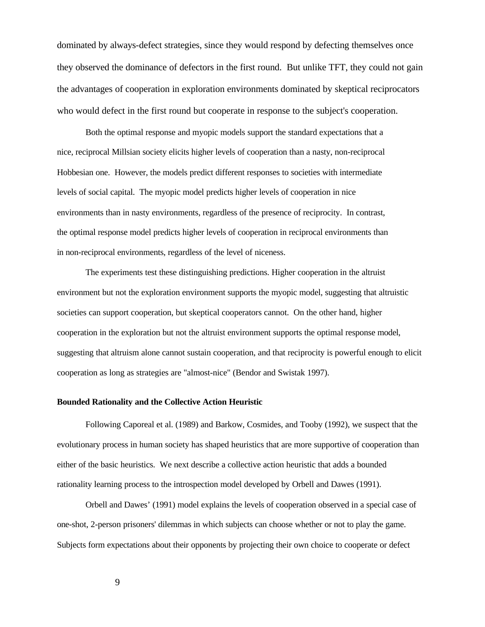dominated by always-defect strategies, since they would respond by defecting themselves once they observed the dominance of defectors in the first round. But unlike TFT, they could not gain the advantages of cooperation in exploration environments dominated by skeptical reciprocators who would defect in the first round but cooperate in response to the subject's cooperation.

Both the optimal response and myopic models support the standard expectations that a nice, reciprocal Millsian society elicits higher levels of cooperation than a nasty, non-reciprocal Hobbesian one. However, the models predict different responses to societies with intermediate levels of social capital. The myopic model predicts higher levels of cooperation in nice environments than in nasty environments, regardless of the presence of reciprocity. In contrast, the optimal response model predicts higher levels of cooperation in reciprocal environments than in non-reciprocal environments, regardless of the level of niceness.

The experiments test these distinguishing predictions. Higher cooperation in the altruist environment but not the exploration environment supports the myopic model, suggesting that altruistic societies can support cooperation, but skeptical cooperators cannot. On the other hand, higher cooperation in the exploration but not the altruist environment supports the optimal response model, suggesting that altruism alone cannot sustain cooperation, and that reciprocity is powerful enough to elicit cooperation as long as strategies are "almost-nice" (Bendor and Swistak 1997).

# **Bounded Rationality and the Collective Action Heuristic**

Following Caporeal et al. (1989) and Barkow, Cosmides, and Tooby (1992), we suspect that the evolutionary process in human society has shaped heuristics that are more supportive of cooperation than either of the basic heuristics. We next describe a collective action heuristic that adds a bounded rationality learning process to the introspection model developed by Orbell and Dawes (1991).

Orbell and Dawes' (1991) model explains the levels of cooperation observed in a special case of one-shot, 2-person prisoners' dilemmas in which subjects can choose whether or not to play the game. Subjects form expectations about their opponents by projecting their own choice to cooperate or defect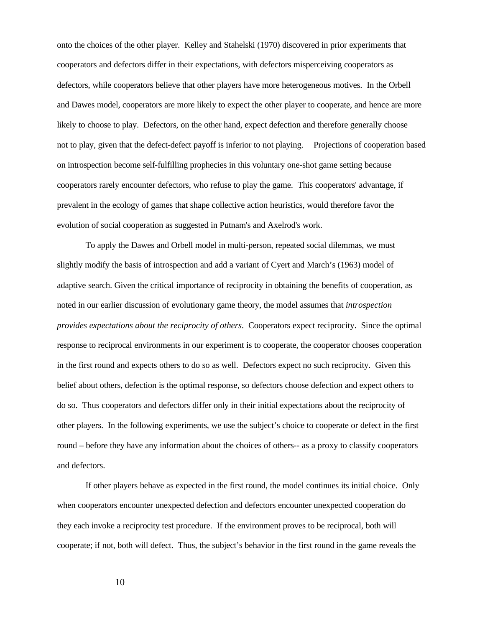onto the choices of the other player. Kelley and Stahelski (1970) discovered in prior experiments that cooperators and defectors differ in their expectations, with defectors misperceiving cooperators as defectors, while cooperators believe that other players have more heterogeneous motives. In the Orbell and Dawes model, cooperators are more likely to expect the other player to cooperate, and hence are more likely to choose to play. Defectors, on the other hand, expect defection and therefore generally choose not to play, given that the defect-defect payoff is inferior to not playing. Projections of cooperation based on introspection become self-fulfilling prophecies in this voluntary one-shot game setting because cooperators rarely encounter defectors, who refuse to play the game. This cooperators' advantage, if prevalent in the ecology of games that shape collective action heuristics, would therefore favor the evolution of social cooperation as suggested in Putnam's and Axelrod's work.

To apply the Dawes and Orbell model in multi-person, repeated social dilemmas, we must slightly modify the basis of introspection and add a variant of Cyert and March's (1963) model of adaptive search. Given the critical importance of reciprocity in obtaining the benefits of cooperation, as noted in our earlier discussion of evolutionary game theory, the model assumes that *introspection provides expectations about the reciprocity of others*. Cooperators expect reciprocity. Since the optimal response to reciprocal environments in our experiment is to cooperate, the cooperator chooses cooperation in the first round and expects others to do so as well. Defectors expect no such reciprocity. Given this belief about others, defection is the optimal response, so defectors choose defection and expect others to do so. Thus cooperators and defectors differ only in their initial expectations about the reciprocity of other players. In the following experiments, we use the subject's choice to cooperate or defect in the first round – before they have any information about the choices of others-- as a proxy to classify cooperators and defectors.

If other players behave as expected in the first round, the model continues its initial choice. Only when cooperators encounter unexpected defection and defectors encounter unexpected cooperation do they each invoke a reciprocity test procedure. If the environment proves to be reciprocal, both will cooperate; if not, both will defect. Thus, the subject's behavior in the first round in the game reveals the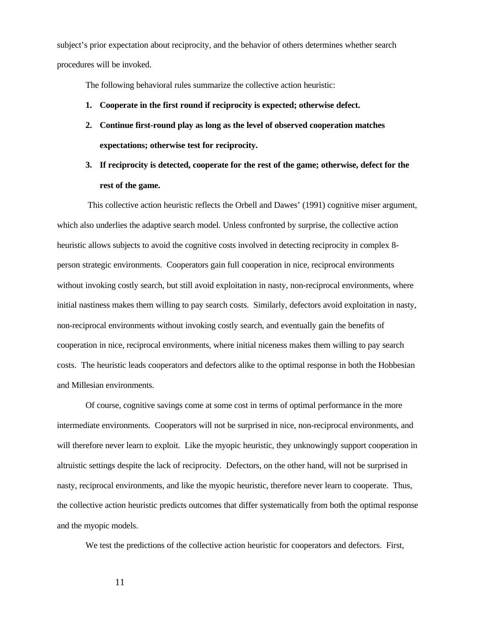subject's prior expectation about reciprocity, and the behavior of others determines whether search procedures will be invoked.

The following behavioral rules summarize the collective action heuristic:

- **1. Cooperate in the first round if reciprocity is expected; otherwise defect.**
- **2. Continue first-round play as long as the level of observed cooperation matches expectations; otherwise test for reciprocity.**
- **3. If reciprocity is detected, cooperate for the rest of the game; otherwise, defect for the rest of the game.**

 This collective action heuristic reflects the Orbell and Dawes' (1991) cognitive miser argument, which also underlies the adaptive search model. Unless confronted by surprise, the collective action heuristic allows subjects to avoid the cognitive costs involved in detecting reciprocity in complex 8 person strategic environments. Cooperators gain full cooperation in nice, reciprocal environments without invoking costly search, but still avoid exploitation in nasty, non-reciprocal environments, where initial nastiness makes them willing to pay search costs. Similarly, defectors avoid exploitation in nasty, non-reciprocal environments without invoking costly search, and eventually gain the benefits of cooperation in nice, reciprocal environments, where initial niceness makes them willing to pay search costs. The heuristic leads cooperators and defectors alike to the optimal response in both the Hobbesian and Millesian environments.

Of course, cognitive savings come at some cost in terms of optimal performance in the more intermediate environments. Cooperators will not be surprised in nice, non-reciprocal environments, and will therefore never learn to exploit. Like the myopic heuristic, they unknowingly support cooperation in altruistic settings despite the lack of reciprocity. Defectors, on the other hand, will not be surprised in nasty, reciprocal environments, and like the myopic heuristic, therefore never learn to cooperate. Thus, the collective action heuristic predicts outcomes that differ systematically from both the optimal response and the myopic models.

We test the predictions of the collective action heuristic for cooperators and defectors. First,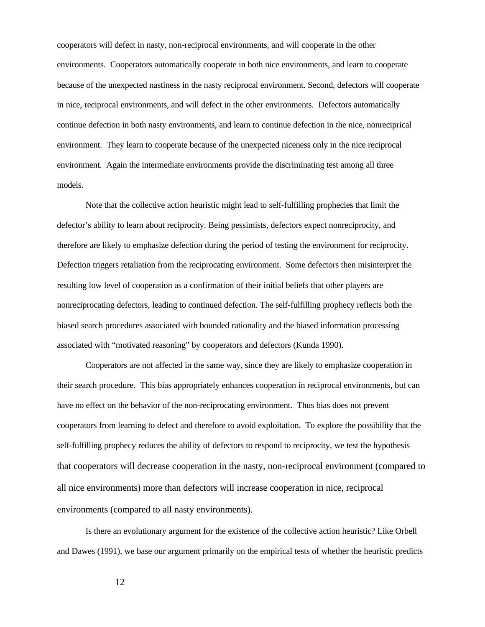cooperators will defect in nasty, non-reciprocal environments, and will cooperate in the other environments. Cooperators automatically cooperate in both nice environments, and learn to cooperate because of the unexpected nastiness in the nasty reciprocal environment. Second, defectors will cooperate in nice, reciprocal environments, and will defect in the other environments. Defectors automatically continue defection in both nasty environments, and learn to continue defection in the nice, nonreciprical environment. They learn to cooperate because of the unexpected niceness only in the nice reciprocal environment. Again the intermediate environments provide the discriminating test among all three models.

Note that the collective action heuristic might lead to self-fulfilling prophecies that limit the defector's ability to learn about reciprocity. Being pessimists, defectors expect nonreciprocity, and therefore are likely to emphasize defection during the period of testing the environment for reciprocity. Defection triggers retaliation from the reciprocating environment. Some defectors then misinterpret the resulting low level of cooperation as a confirmation of their initial beliefs that other players are nonreciprocating defectors, leading to continued defection. The self-fulfilling prophecy reflects both the biased search procedures associated with bounded rationality and the biased information processing associated with "motivated reasoning" by cooperators and defectors (Kunda 1990).

Cooperators are not affected in the same way, since they are likely to emphasize cooperation in their search procedure. This bias appropriately enhances cooperation in reciprocal environments, but can have no effect on the behavior of the non-reciprocating environment. Thus bias does not prevent cooperators from learning to defect and therefore to avoid exploitation. To explore the possibility that the self-fulfilling prophecy reduces the ability of defectors to respond to reciprocity, we test the hypothesis that cooperators will decrease cooperation in the nasty, non-reciprocal environment (compared to all nice environments) more than defectors will increase cooperation in nice, reciprocal environments (compared to all nasty environments).

Is there an evolutionary argument for the existence of the collective action heuristic? Like Orbell and Dawes (1991), we base our argument primarily on the empirical tests of whether the heuristic predicts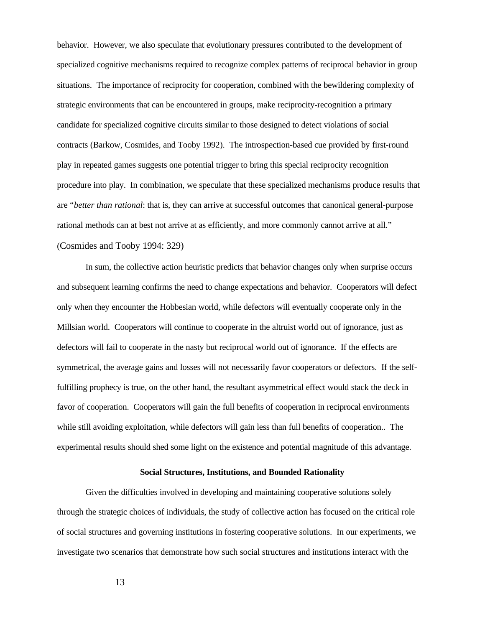behavior. However, we also speculate that evolutionary pressures contributed to the development of specialized cognitive mechanisms required to recognize complex patterns of reciprocal behavior in group situations. The importance of reciprocity for cooperation, combined with the bewildering complexity of strategic environments that can be encountered in groups, make reciprocity-recognition a primary candidate for specialized cognitive circuits similar to those designed to detect violations of social contracts (Barkow, Cosmides, and Tooby 1992). The introspection-based cue provided by first-round play in repeated games suggests one potential trigger to bring this special reciprocity recognition procedure into play. In combination, we speculate that these specialized mechanisms produce results that are "*better than rational*: that is, they can arrive at successful outcomes that canonical general-purpose rational methods can at best not arrive at as efficiently, and more commonly cannot arrive at all." (Cosmides and Tooby 1994: 329)

In sum, the collective action heuristic predicts that behavior changes only when surprise occurs and subsequent learning confirms the need to change expectations and behavior. Cooperators will defect only when they encounter the Hobbesian world, while defectors will eventually cooperate only in the Millsian world. Cooperators will continue to cooperate in the altruist world out of ignorance, just as defectors will fail to cooperate in the nasty but reciprocal world out of ignorance. If the effects are symmetrical, the average gains and losses will not necessarily favor cooperators or defectors. If the selffulfilling prophecy is true, on the other hand, the resultant asymmetrical effect would stack the deck in favor of cooperation. Cooperators will gain the full benefits of cooperation in reciprocal environments while still avoiding exploitation, while defectors will gain less than full benefits of cooperation.. The experimental results should shed some light on the existence and potential magnitude of this advantage.

#### **Social Structures, Institutions, and Bounded Rationality**

Given the difficulties involved in developing and maintaining cooperative solutions solely through the strategic choices of individuals, the study of collective action has focused on the critical role of social structures and governing institutions in fostering cooperative solutions. In our experiments, we investigate two scenarios that demonstrate how such social structures and institutions interact with the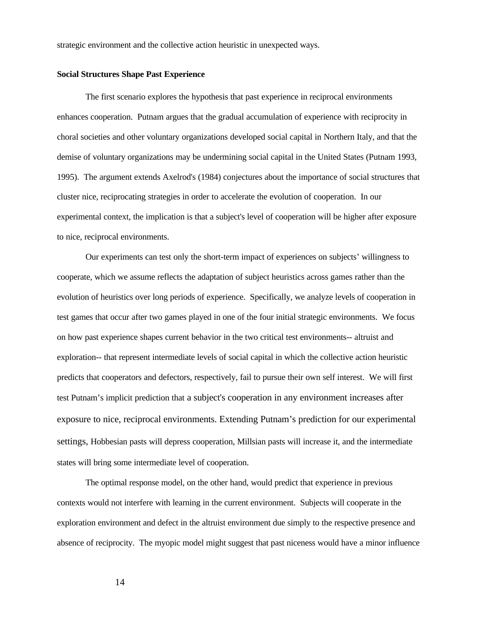strategic environment and the collective action heuristic in unexpected ways.

# **Social Structures Shape Past Experience**

The first scenario explores the hypothesis that past experience in reciprocal environments enhances cooperation. Putnam argues that the gradual accumulation of experience with reciprocity in choral societies and other voluntary organizations developed social capital in Northern Italy, and that the demise of voluntary organizations may be undermining social capital in the United States (Putnam 1993, 1995). The argument extends Axelrod's (1984) conjectures about the importance of social structures that cluster nice, reciprocating strategies in order to accelerate the evolution of cooperation. In our experimental context, the implication is that a subject's level of cooperation will be higher after exposure to nice, reciprocal environments.

Our experiments can test only the short-term impact of experiences on subjects' willingness to cooperate, which we assume reflects the adaptation of subject heuristics across games rather than the evolution of heuristics over long periods of experience. Specifically, we analyze levels of cooperation in test games that occur after two games played in one of the four initial strategic environments. We focus on how past experience shapes current behavior in the two critical test environments-- altruist and exploration-- that represent intermediate levels of social capital in which the collective action heuristic predicts that cooperators and defectors, respectively, fail to pursue their own self interest. We will first test Putnam's implicit prediction that a subject's cooperation in any environment increases after exposure to nice, reciprocal environments. Extending Putnam's prediction for our experimental settings, Hobbesian pasts will depress cooperation, Millsian pasts will increase it, and the intermediate states will bring some intermediate level of cooperation.

The optimal response model, on the other hand, would predict that experience in previous contexts would not interfere with learning in the current environment. Subjects will cooperate in the exploration environment and defect in the altruist environment due simply to the respective presence and absence of reciprocity. The myopic model might suggest that past niceness would have a minor influence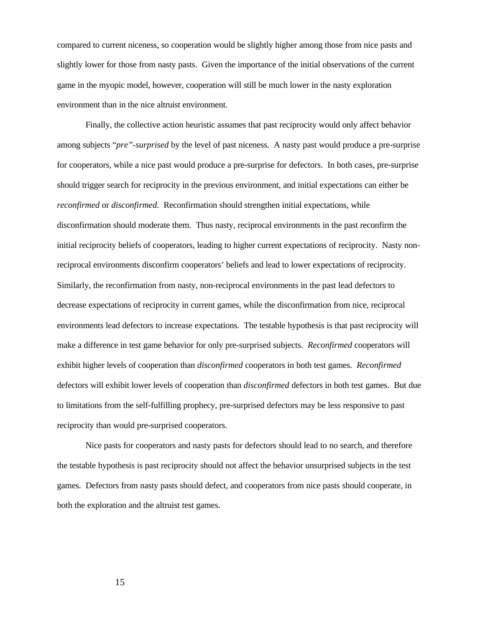compared to current niceness, so cooperation would be slightly higher among those from nice pasts and slightly lower for those from nasty pasts. Given the importance of the initial observations of the current game in the myopic model, however, cooperation will still be much lower in the nasty exploration environment than in the nice altruist environment.

Finally, the collective action heuristic assumes that past reciprocity would only affect behavior among subjects "*pre"-surprised* by the level of past niceness. A nasty past would produce a pre-surprise for cooperators, while a nice past would produce a pre-surprise for defectors. In both cases, pre-surprise should trigger search for reciprocity in the previous environment, and initial expectations can either be *reconfirmed* or *disconfirmed*. Reconfirmation should strengthen initial expectations, while disconfirmation should moderate them. Thus nasty, reciprocal environments in the past reconfirm the initial reciprocity beliefs of cooperators, leading to higher current expectations of reciprocity. Nasty nonreciprocal environments disconfirm cooperators' beliefs and lead to lower expectations of reciprocity. Similarly, the reconfirmation from nasty, non-reciprocal environments in the past lead defectors to decrease expectations of reciprocity in current games, while the disconfirmation from nice, reciprocal environments lead defectors to increase expectations. The testable hypothesis is that past reciprocity will make a difference in test game behavior for only pre-surprised subjects. *Reconfirmed* cooperators will exhibit higher levels of cooperation than *disconfirmed* cooperators in both test games. *Reconfirmed*  defectors will exhibit lower levels of cooperation than *disconfirmed* defectors in both test games. But due to limitations from the self-fulfilling prophecy, pre-surprised defectors may be less responsive to past reciprocity than would pre-surprised cooperators.

Nice pasts for cooperators and nasty pasts for defectors should lead to no search, and therefore the testable hypothesis is past reciprocity should not affect the behavior unsurprised subjects in the test games. Defectors from nasty pasts should defect, and cooperators from nice pasts should cooperate, in both the exploration and the altruist test games.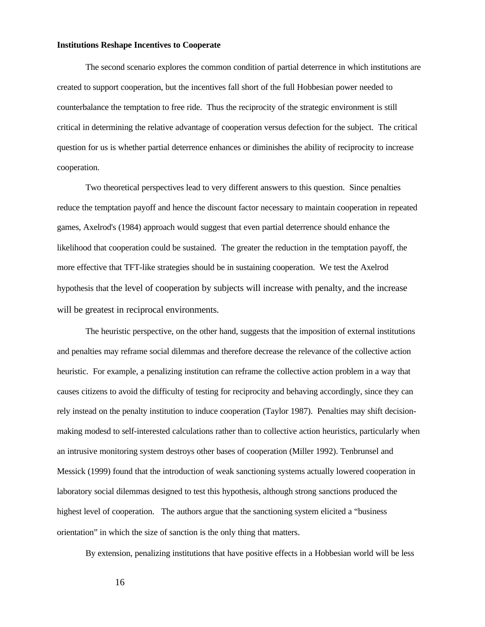# **Institutions Reshape Incentives to Cooperate**

The second scenario explores the common condition of partial deterrence in which institutions are created to support cooperation, but the incentives fall short of the full Hobbesian power needed to counterbalance the temptation to free ride. Thus the reciprocity of the strategic environment is still critical in determining the relative advantage of cooperation versus defection for the subject. The critical question for us is whether partial deterrence enhances or diminishes the ability of reciprocity to increase cooperation.

Two theoretical perspectives lead to very different answers to this question. Since penalties reduce the temptation payoff and hence the discount factor necessary to maintain cooperation in repeated games, Axelrod's (1984) approach would suggest that even partial deterrence should enhance the likelihood that cooperation could be sustained. The greater the reduction in the temptation payoff, the more effective that TFT-like strategies should be in sustaining cooperation. We test the Axelrod hypothesis that the level of cooperation by subjects will increase with penalty, and the increase will be greatest in reciprocal environments.

The heuristic perspective, on the other hand, suggests that the imposition of external institutions and penalties may reframe social dilemmas and therefore decrease the relevance of the collective action heuristic. For example, a penalizing institution can reframe the collective action problem in a way that causes citizens to avoid the difficulty of testing for reciprocity and behaving accordingly, since they can rely instead on the penalty institution to induce cooperation (Taylor 1987). Penalties may shift decisionmaking modesd to self-interested calculations rather than to collective action heuristics, particularly when an intrusive monitoring system destroys other bases of cooperation (Miller 1992). Tenbrunsel and Messick (1999) found that the introduction of weak sanctioning systems actually lowered cooperation in laboratory social dilemmas designed to test this hypothesis, although strong sanctions produced the highest level of cooperation. The authors argue that the sanctioning system elicited a "business orientation" in which the size of sanction is the only thing that matters.

By extension, penalizing institutions that have positive effects in a Hobbesian world will be less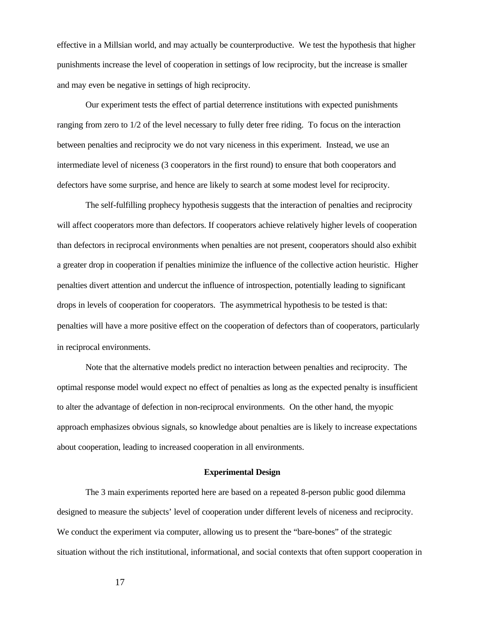effective in a Millsian world, and may actually be counterproductive. We test the hypothesis that higher punishments increase the level of cooperation in settings of low reciprocity, but the increase is smaller and may even be negative in settings of high reciprocity.

Our experiment tests the effect of partial deterrence institutions with expected punishments ranging from zero to 1/2 of the level necessary to fully deter free riding. To focus on the interaction between penalties and reciprocity we do not vary niceness in this experiment. Instead, we use an intermediate level of niceness (3 cooperators in the first round) to ensure that both cooperators and defectors have some surprise, and hence are likely to search at some modest level for reciprocity.

The self-fulfilling prophecy hypothesis suggests that the interaction of penalties and reciprocity will affect cooperators more than defectors. If cooperators achieve relatively higher levels of cooperation than defectors in reciprocal environments when penalties are not present, cooperators should also exhibit a greater drop in cooperation if penalties minimize the influence of the collective action heuristic. Higher penalties divert attention and undercut the influence of introspection, potentially leading to significant drops in levels of cooperation for cooperators. The asymmetrical hypothesis to be tested is that: penalties will have a more positive effect on the cooperation of defectors than of cooperators, particularly in reciprocal environments.

Note that the alternative models predict no interaction between penalties and reciprocity. The optimal response model would expect no effect of penalties as long as the expected penalty is insufficient to alter the advantage of defection in non-reciprocal environments. On the other hand, the myopic approach emphasizes obvious signals, so knowledge about penalties are is likely to increase expectations about cooperation, leading to increased cooperation in all environments.

## **Experimental Design**

The 3 main experiments reported here are based on a repeated 8-person public good dilemma designed to measure the subjects' level of cooperation under different levels of niceness and reciprocity. We conduct the experiment via computer, allowing us to present the "bare-bones" of the strategic situation without the rich institutional, informational, and social contexts that often support cooperation in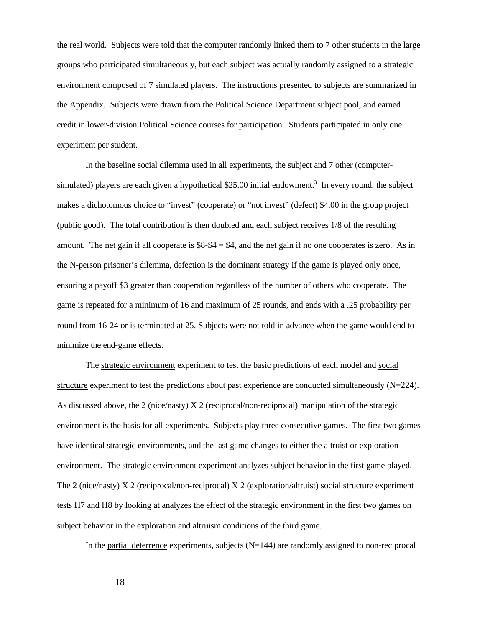the real world. Subjects were told that the computer randomly linked them to 7 other students in the large groups who participated simultaneously, but each subject was actually randomly assigned to a strategic environment composed of 7 simulated players. The instructions presented to subjects are summarized in the Appendix. Subjects were drawn from the Political Science Department subject pool, and earned credit in lower-division Political Science courses for participation. Students participated in only one experiment per student.

In the baseline social dilemma used in all experiments, the subject and 7 other (computersimulated) players are each given a hypothetical \$25.00 initial endowment.<sup>3</sup> In every round, the subject makes a dichotomous choice to "invest" (cooperate) or "not invest" (defect) \$4.00 in the group project (public good). The total contribution is then doubled and each subject receives 1/8 of the resulting amount. The net gain if all cooperate is  $$8-\$4 = \$4$ , and the net gain if no one cooperates is zero. As in the N-person prisoner's dilemma, defection is the dominant strategy if the game is played only once, ensuring a payoff \$3 greater than cooperation regardless of the number of others who cooperate. The game is repeated for a minimum of 16 and maximum of 25 rounds, and ends with a .25 probability per round from 16-24 or is terminated at 25. Subjects were not told in advance when the game would end to minimize the end-game effects.

The strategic environment experiment to test the basic predictions of each model and social structure experiment to test the predictions about past experience are conducted simultaneously (N=224). As discussed above, the 2 (nice/nasty) X 2 (reciprocal/non-reciprocal) manipulation of the strategic environment is the basis for all experiments. Subjects play three consecutive games. The first two games have identical strategic environments, and the last game changes to either the altruist or exploration environment. The strategic environment experiment analyzes subject behavior in the first game played. The 2 (nice/nasty) X 2 (reciprocal/non-reciprocal) X 2 (exploration/altruist) social structure experiment tests H7 and H8 by looking at analyzes the effect of the strategic environment in the first two games on subject behavior in the exploration and altruism conditions of the third game.

In the partial deterrence experiments, subjects  $(N=144)$  are randomly assigned to non-reciprocal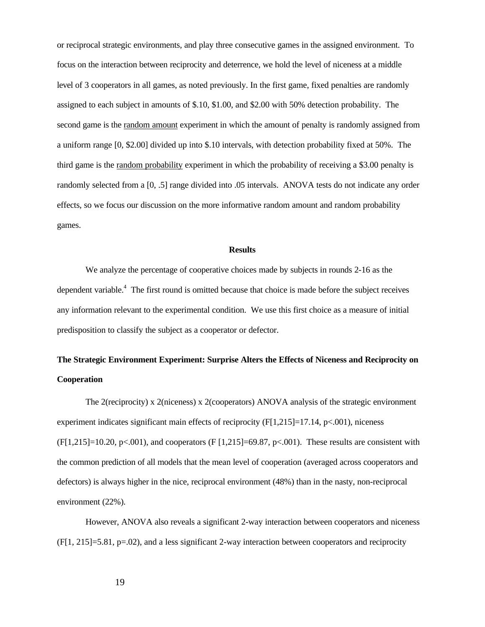or reciprocal strategic environments, and play three consecutive games in the assigned environment. To focus on the interaction between reciprocity and deterrence, we hold the level of niceness at a middle level of 3 cooperators in all games, as noted previously. In the first game, fixed penalties are randomly assigned to each subject in amounts of \$.10, \$1.00, and \$2.00 with 50% detection probability. The second game is the random amount experiment in which the amount of penalty is randomly assigned from a uniform range [0, \$2.00] divided up into \$.10 intervals, with detection probability fixed at 50%. The third game is the random probability experiment in which the probability of receiving a \$3.00 penalty is randomly selected from a [0, .5] range divided into .05 intervals. ANOVA tests do not indicate any order effects, so we focus our discussion on the more informative random amount and random probability games.

#### **Results**

We analyze the percentage of cooperative choices made by subjects in rounds 2-16 as the dependent variable.<sup>4</sup> The first round is omitted because that choice is made before the subject receives any information relevant to the experimental condition. We use this first choice as a measure of initial predisposition to classify the subject as a cooperator or defector.

# **The Strategic Environment Experiment: Surprise Alters the Effects of Niceness and Reciprocity on Cooperation**

The 2(reciprocity) x 2(niceness) x 2(cooperators) ANOVA analysis of the strategic environment experiment indicates significant main effects of reciprocity  $(F[1,215]=17.14, p<.001)$ , niceness  $(F[1,215]=10.20, p<.001)$ , and cooperators  $(F[1,215]=69.87, p<.001)$ . These results are consistent with the common prediction of all models that the mean level of cooperation (averaged across cooperators and defectors) is always higher in the nice, reciprocal environment (48%) than in the nasty, non-reciprocal environment (22%).

However, ANOVA also reveals a significant 2-way interaction between cooperators and niceness  $(F[1, 215] = 5.81, p=02)$ , and a less significant 2-way interaction between cooperators and reciprocity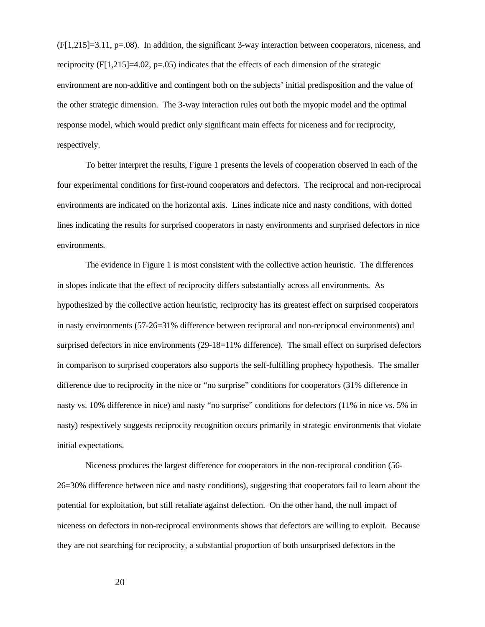$(F[1,215]=3.11, p=.08)$ . In addition, the significant 3-way interaction between cooperators, niceness, and reciprocity  $(F[1,215]=4.02, p=.05)$  indicates that the effects of each dimension of the strategic environment are non-additive and contingent both on the subjects' initial predisposition and the value of the other strategic dimension. The 3-way interaction rules out both the myopic model and the optimal response model, which would predict only significant main effects for niceness and for reciprocity, respectively.

To better interpret the results, Figure 1 presents the levels of cooperation observed in each of the four experimental conditions for first-round cooperators and defectors. The reciprocal and non-reciprocal environments are indicated on the horizontal axis. Lines indicate nice and nasty conditions, with dotted lines indicating the results for surprised cooperators in nasty environments and surprised defectors in nice environments.

The evidence in Figure 1 is most consistent with the collective action heuristic. The differences in slopes indicate that the effect of reciprocity differs substantially across all environments. As hypothesized by the collective action heuristic, reciprocity has its greatest effect on surprised cooperators in nasty environments (57-26=31% difference between reciprocal and non-reciprocal environments) and surprised defectors in nice environments (29-18=11% difference). The small effect on surprised defectors in comparison to surprised cooperators also supports the self-fulfilling prophecy hypothesis. The smaller difference due to reciprocity in the nice or "no surprise" conditions for cooperators (31% difference in nasty vs. 10% difference in nice) and nasty "no surprise" conditions for defectors (11% in nice vs. 5% in nasty) respectively suggests reciprocity recognition occurs primarily in strategic environments that violate initial expectations.

Niceness produces the largest difference for cooperators in the non-reciprocal condition (56- 26=30% difference between nice and nasty conditions), suggesting that cooperators fail to learn about the potential for exploitation, but still retaliate against defection. On the other hand, the null impact of niceness on defectors in non-reciprocal environments shows that defectors are willing to exploit. Because they are not searching for reciprocity, a substantial proportion of both unsurprised defectors in the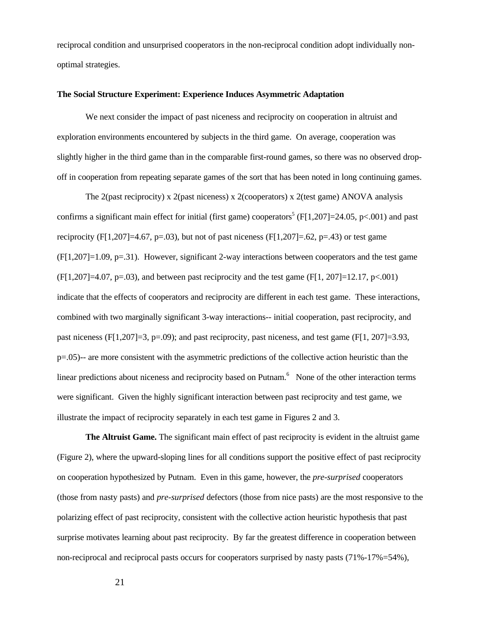reciprocal condition and unsurprised cooperators in the non-reciprocal condition adopt individually nonoptimal strategies.

#### **The Social Structure Experiment: Experience Induces Asymmetric Adaptation**

We next consider the impact of past niceness and reciprocity on cooperation in altruist and exploration environments encountered by subjects in the third game. On average, cooperation was slightly higher in the third game than in the comparable first-round games, so there was no observed dropoff in cooperation from repeating separate games of the sort that has been noted in long continuing games.

The 2(past reciprocity) x 2(past niceness) x 2(cooperators) x 2(test game) ANOVA analysis confirms a significant main effect for initial (first game) cooperators<sup>5</sup> (F[1,207]=24.05, p<.001) and past reciprocity (F[1,207]=4.67, p=.03), but not of past niceness (F[1,207]=.62, p=.43) or test game  $(F[1,207]=1.09, p=.31)$ . However, significant 2-way interactions between cooperators and the test game  $(F[1, 207] = 4.07, p = .03)$ , and between past reciprocity and the test game  $(F[1, 207] = 12.17, p < .001)$ indicate that the effects of cooperators and reciprocity are different in each test game. These interactions, combined with two marginally significant 3-way interactions-- initial cooperation, past reciprocity, and past niceness (F[1,207]=3, p=.09); and past reciprocity, past niceness, and test game (F[1, 207]=3.93, p=.05)-- are more consistent with the asymmetric predictions of the collective action heuristic than the linear predictions about niceness and reciprocity based on Putnam.<sup>6</sup> None of the other interaction terms were significant. Given the highly significant interaction between past reciprocity and test game, we illustrate the impact of reciprocity separately in each test game in Figures 2 and 3.

**The Altruist Game.** The significant main effect of past reciprocity is evident in the altruist game (Figure 2), where the upward-sloping lines for all conditions support the positive effect of past reciprocity on cooperation hypothesized by Putnam. Even in this game, however, the *pre-surprised* cooperators (those from nasty pasts) and *pre-surprised* defectors (those from nice pasts) are the most responsive to the polarizing effect of past reciprocity, consistent with the collective action heuristic hypothesis that past surprise motivates learning about past reciprocity. By far the greatest difference in cooperation between non-reciprocal and reciprocal pasts occurs for cooperators surprised by nasty pasts (71%-17%=54%),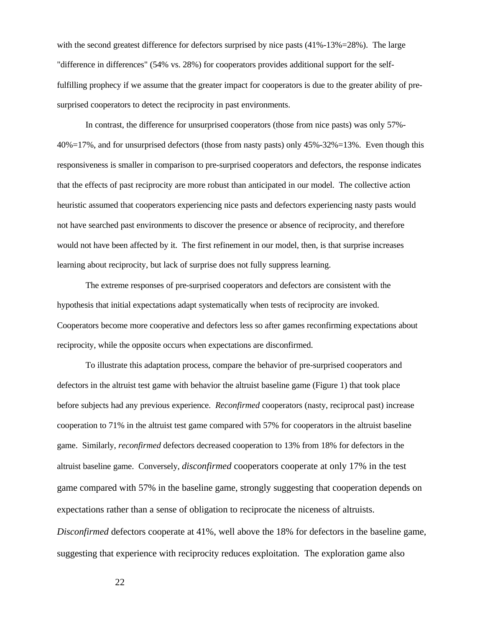with the second greatest difference for defectors surprised by nice pasts  $(41\% - 13\% = 28\%)$ . The large "difference in differences" (54% vs. 28%) for cooperators provides additional support for the selffulfilling prophecy if we assume that the greater impact for cooperators is due to the greater ability of presurprised cooperators to detect the reciprocity in past environments.

In contrast, the difference for unsurprised cooperators (those from nice pasts) was only 57%- 40%=17%, and for unsurprised defectors (those from nasty pasts) only 45%-32%=13%. Even though this responsiveness is smaller in comparison to pre-surprised cooperators and defectors, the response indicates that the effects of past reciprocity are more robust than anticipated in our model. The collective action heuristic assumed that cooperators experiencing nice pasts and defectors experiencing nasty pasts would not have searched past environments to discover the presence or absence of reciprocity, and therefore would not have been affected by it. The first refinement in our model, then, is that surprise increases learning about reciprocity, but lack of surprise does not fully suppress learning.

The extreme responses of pre-surprised cooperators and defectors are consistent with the hypothesis that initial expectations adapt systematically when tests of reciprocity are invoked. Cooperators become more cooperative and defectors less so after games reconfirming expectations about reciprocity, while the opposite occurs when expectations are disconfirmed.

To illustrate this adaptation process, compare the behavior of pre-surprised cooperators and defectors in the altruist test game with behavior the altruist baseline game (Figure 1) that took place before subjects had any previous experience. *Reconfirmed* cooperators (nasty, reciprocal past) increase cooperation to 71% in the altruist test game compared with 57% for cooperators in the altruist baseline game. Similarly, *reconfirmed* defectors decreased cooperation to 13% from 18% for defectors in the altruist baseline game. Conversely, *disconfirmed* cooperators cooperate at only 17% in the test game compared with 57% in the baseline game, strongly suggesting that cooperation depends on expectations rather than a sense of obligation to reciprocate the niceness of altruists. *Disconfirmed* defectors cooperate at 41%, well above the 18% for defectors in the baseline game, suggesting that experience with reciprocity reduces exploitation. The exploration game also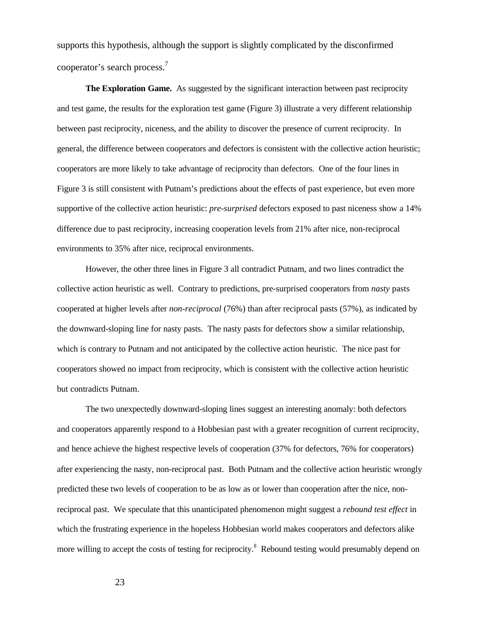supports this hypothesis, although the support is slightly complicated by the disconfirmed cooperator's search process.<sup>7</sup>

**The Exploration Game.** As suggested by the significant interaction between past reciprocity and test game, the results for the exploration test game (Figure 3) illustrate a very different relationship between past reciprocity, niceness, and the ability to discover the presence of current reciprocity. In general, the difference between cooperators and defectors is consistent with the collective action heuristic; cooperators are more likely to take advantage of reciprocity than defectors. One of the four lines in Figure 3 is still consistent with Putnam's predictions about the effects of past experience, but even more supportive of the collective action heuristic: *pre-surprised* defectors exposed to past niceness show a 14% difference due to past reciprocity, increasing cooperation levels from 21% after nice, non-reciprocal environments to 35% after nice, reciprocal environments.

However, the other three lines in Figure 3 all contradict Putnam, and two lines contradict the collective action heuristic as well. Contrary to predictions, pre-surprised cooperators from *nasty* pasts cooperated at higher levels after *non-reciprocal* (76%) than after reciprocal pasts (57%), as indicated by the downward-sloping line for nasty pasts. The nasty pasts for defectors show a similar relationship, which is contrary to Putnam and not anticipated by the collective action heuristic. The nice past for cooperators showed no impact from reciprocity, which is consistent with the collective action heuristic but contradicts Putnam.

The two unexpectedly downward-sloping lines suggest an interesting anomaly: both defectors and cooperators apparently respond to a Hobbesian past with a greater recognition of current reciprocity, and hence achieve the highest respective levels of cooperation (37% for defectors, 76% for cooperators) after experiencing the nasty, non-reciprocal past. Both Putnam and the collective action heuristic wrongly predicted these two levels of cooperation to be as low as or lower than cooperation after the nice, nonreciprocal past. We speculate that this unanticipated phenomenon might suggest a *rebound test effect* in which the frustrating experience in the hopeless Hobbesian world makes cooperators and defectors alike more willing to accept the costs of testing for reciprocity.<sup>8</sup> Rebound testing would presumably depend on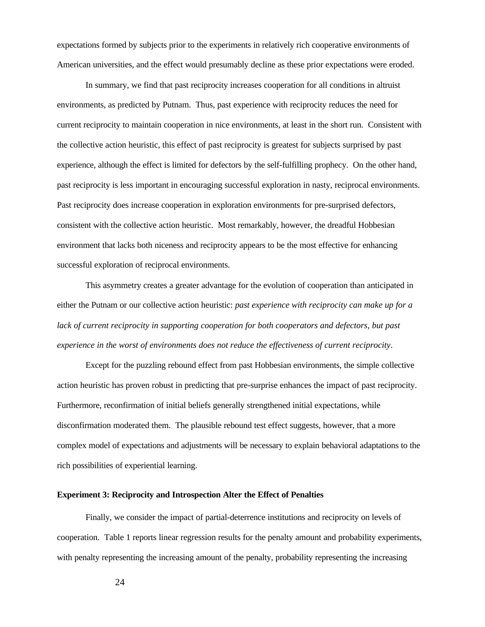expectations formed by subjects prior to the experiments in relatively rich cooperative environments of American universities, and the effect would presumably decline as these prior expectations were eroded.

In summary, we find that past reciprocity increases cooperation for all conditions in altruist environments, as predicted by Putnam. Thus, past experience with reciprocity reduces the need for current reciprocity to maintain cooperation in nice environments, at least in the short run. Consistent with the collective action heuristic, this effect of past reciprocity is greatest for subjects surprised by past experience, although the effect is limited for defectors by the self-fulfilling prophecy. On the other hand, past reciprocity is less important in encouraging successful exploration in nasty, reciprocal environments. Past reciprocity does increase cooperation in exploration environments for pre-surprised defectors, consistent with the collective action heuristic. Most remarkably, however, the dreadful Hobbesian environment that lacks both niceness and reciprocity appears to be the most effective for enhancing successful exploration of reciprocal environments.

This asymmetry creates a greater advantage for the evolution of cooperation than anticipated in either the Putnam or our collective action heuristic: *past experience with reciprocity can make up for a*  lack of current reciprocity in supporting cooperation for both cooperators and defectors, but past *experience in the worst of environments does not reduce the effectiveness of current reciprocity*.

Except for the puzzling rebound effect from past Hobbesian environments, the simple collective action heuristic has proven robust in predicting that pre-surprise enhances the impact of past reciprocity. Furthermore, reconfirmation of initial beliefs generally strengthened initial expectations, while disconfirmation moderated them. The plausible rebound test effect suggests, however, that a more complex model of expectations and adjustments will be necessary to explain behavioral adaptations to the rich possibilities of experiential learning.

# **Experiment 3: Reciprocity and Introspection Alter the Effect of Penalties**

Finally, we consider the impact of partial-deterrence institutions and reciprocity on levels of cooperation. Table 1 reports linear regression results for the penalty amount and probability experiments, with penalty representing the increasing amount of the penalty, probability representing the increasing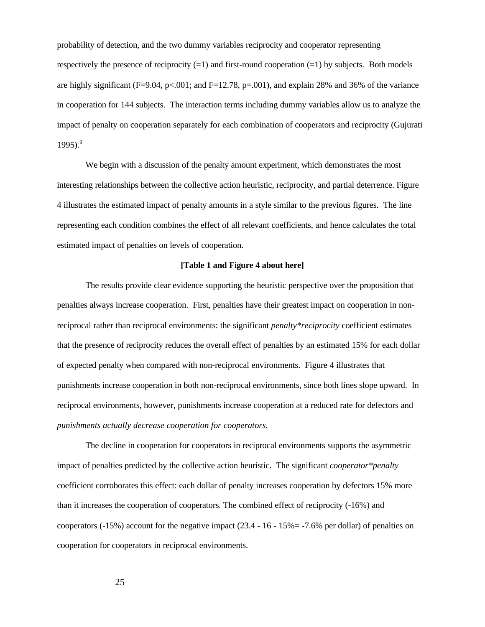probability of detection, and the two dummy variables reciprocity and cooperator representing respectively the presence of reciprocity  $(=1)$  and first-round cooperation  $(=1)$  by subjects. Both models are highly significant (F=9.04, p<.001; and F=12.78, p=.001), and explain 28% and 36% of the variance in cooperation for 144 subjects. The interaction terms including dummy variables allow us to analyze the impact of penalty on cooperation separately for each combination of cooperators and reciprocity (Gujurati 1995). $9^9$ 

We begin with a discussion of the penalty amount experiment, which demonstrates the most interesting relationships between the collective action heuristic, reciprocity, and partial deterrence. Figure 4 illustrates the estimated impact of penalty amounts in a style similar to the previous figures. The line representing each condition combines the effect of all relevant coefficients, and hence calculates the total estimated impact of penalties on levels of cooperation.

# **[Table 1 and Figure 4 about here]**

The results provide clear evidence supporting the heuristic perspective over the proposition that penalties always increase cooperation. First, penalties have their greatest impact on cooperation in nonreciprocal rather than reciprocal environments: the significant *penalty\*reciprocity* coefficient estimates that the presence of reciprocity reduces the overall effect of penalties by an estimated 15% for each dollar of expected penalty when compared with non-reciprocal environments. Figure 4 illustrates that punishments increase cooperation in both non-reciprocal environments, since both lines slope upward. In reciprocal environments, however, punishments increase cooperation at a reduced rate for defectors and *punishments actually decrease cooperation for cooperators.*

The decline in cooperation for cooperators in reciprocal environments supports the asymmetric impact of penalties predicted by the collective action heuristic. The significant *cooperator\*penalty* coefficient corroborates this effect: each dollar of penalty increases cooperation by defectors 15% more than it increases the cooperation of cooperators. The combined effect of reciprocity (-16%) and cooperators ( $-15\%$ ) account for the negative impact (23.4 - 16 - 15% = -7.6% per dollar) of penalties on cooperation for cooperators in reciprocal environments.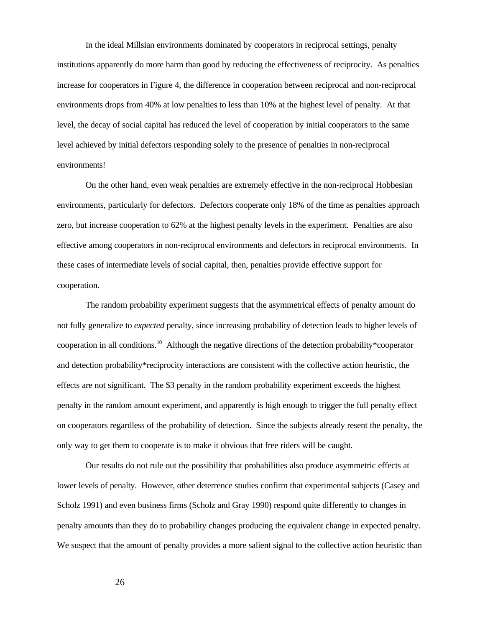In the ideal Millsian environments dominated by cooperators in reciprocal settings, penalty institutions apparently do more harm than good by reducing the effectiveness of reciprocity. As penalties increase for cooperators in Figure 4, the difference in cooperation between reciprocal and non-reciprocal environments drops from 40% at low penalties to less than 10% at the highest level of penalty. At that level, the decay of social capital has reduced the level of cooperation by initial cooperators to the same level achieved by initial defectors responding solely to the presence of penalties in non-reciprocal environments!

On the other hand, even weak penalties are extremely effective in the non-reciprocal Hobbesian environments, particularly for defectors. Defectors cooperate only 18% of the time as penalties approach zero, but increase cooperation to 62% at the highest penalty levels in the experiment. Penalties are also effective among cooperators in non-reciprocal environments and defectors in reciprocal environments. In these cases of intermediate levels of social capital, then, penalties provide effective support for cooperation.

The random probability experiment suggests that the asymmetrical effects of penalty amount do not fully generalize to *expected* penalty, since increasing probability of detection leads to higher levels of cooperation in all conditions.<sup>10</sup> Although the negative directions of the detection probability\*cooperator and detection probability\*reciprocity interactions are consistent with the collective action heuristic, the effects are not significant. The \$3 penalty in the random probability experiment exceeds the highest penalty in the random amount experiment, and apparently is high enough to trigger the full penalty effect on cooperators regardless of the probability of detection. Since the subjects already resent the penalty, the only way to get them to cooperate is to make it obvious that free riders will be caught.

Our results do not rule out the possibility that probabilities also produce asymmetric effects at lower levels of penalty. However, other deterrence studies confirm that experimental subjects (Casey and Scholz 1991) and even business firms (Scholz and Gray 1990) respond quite differently to changes in penalty amounts than they do to probability changes producing the equivalent change in expected penalty. We suspect that the amount of penalty provides a more salient signal to the collective action heuristic than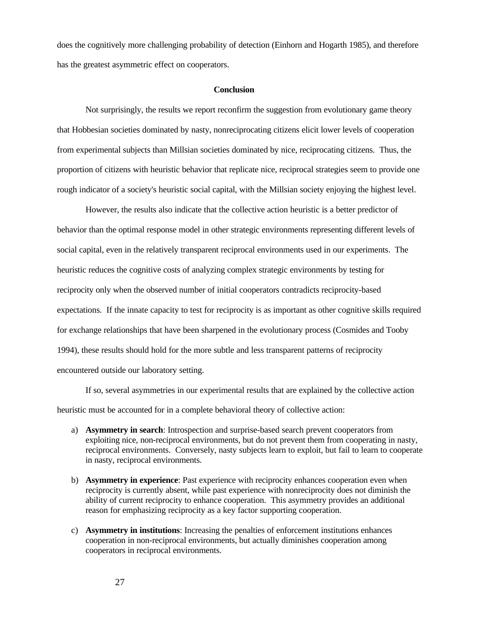does the cognitively more challenging probability of detection (Einhorn and Hogarth 1985), and therefore has the greatest asymmetric effect on cooperators.

#### **Conclusion**

Not surprisingly, the results we report reconfirm the suggestion from evolutionary game theory that Hobbesian societies dominated by nasty, nonreciprocating citizens elicit lower levels of cooperation from experimental subjects than Millsian societies dominated by nice, reciprocating citizens. Thus, the proportion of citizens with heuristic behavior that replicate nice, reciprocal strategies seem to provide one rough indicator of a society's heuristic social capital, with the Millsian society enjoying the highest level.

However, the results also indicate that the collective action heuristic is a better predictor of behavior than the optimal response model in other strategic environments representing different levels of social capital, even in the relatively transparent reciprocal environments used in our experiments. The heuristic reduces the cognitive costs of analyzing complex strategic environments by testing for reciprocity only when the observed number of initial cooperators contradicts reciprocity-based expectations. If the innate capacity to test for reciprocity is as important as other cognitive skills required for exchange relationships that have been sharpened in the evolutionary process (Cosmides and Tooby 1994), these results should hold for the more subtle and less transparent patterns of reciprocity encountered outside our laboratory setting.

If so, several asymmetries in our experimental results that are explained by the collective action heuristic must be accounted for in a complete behavioral theory of collective action:

- a) **Asymmetry in search**: Introspection and surprise-based search prevent cooperators from exploiting nice, non-reciprocal environments, but do not prevent them from cooperating in nasty, reciprocal environments. Conversely, nasty subjects learn to exploit, but fail to learn to cooperate in nasty, reciprocal environments.
- b) **Asymmetry in experience**: Past experience with reciprocity enhances cooperation even when reciprocity is currently absent, while past experience with nonreciprocity does not diminish the ability of current reciprocity to enhance cooperation. This asymmetry provides an additional reason for emphasizing reciprocity as a key factor supporting cooperation.
- c) **Asymmetry in institutions**: Increasing the penalties of enforcement institutions enhances cooperation in non-reciprocal environments, but actually diminishes cooperation among cooperators in reciprocal environments.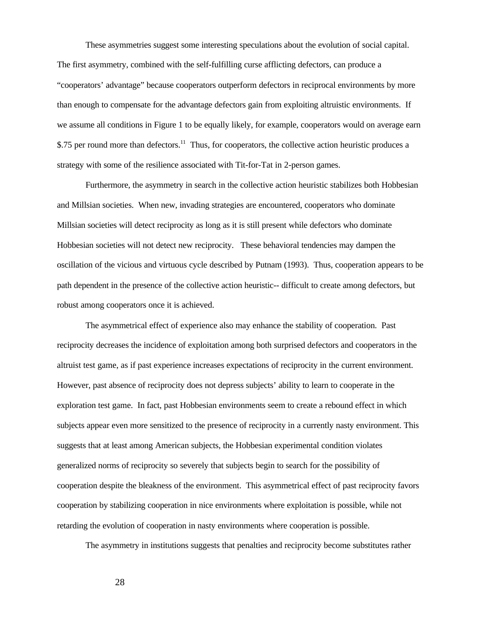These asymmetries suggest some interesting speculations about the evolution of social capital. The first asymmetry, combined with the self-fulfilling curse afflicting defectors, can produce a "cooperators' advantage" because cooperators outperform defectors in reciprocal environments by more than enough to compensate for the advantage defectors gain from exploiting altruistic environments. If we assume all conditions in Figure 1 to be equally likely, for example, cooperators would on average earn \$.75 per round more than defectors.<sup>11</sup> Thus, for cooperators, the collective action heuristic produces a strategy with some of the resilience associated with Tit-for-Tat in 2-person games.

Furthermore, the asymmetry in search in the collective action heuristic stabilizes both Hobbesian and Millsian societies. When new, invading strategies are encountered, cooperators who dominate Millsian societies will detect reciprocity as long as it is still present while defectors who dominate Hobbesian societies will not detect new reciprocity. These behavioral tendencies may dampen the oscillation of the vicious and virtuous cycle described by Putnam (1993). Thus, cooperation appears to be path dependent in the presence of the collective action heuristic-- difficult to create among defectors, but robust among cooperators once it is achieved.

The asymmetrical effect of experience also may enhance the stability of cooperation. Past reciprocity decreases the incidence of exploitation among both surprised defectors and cooperators in the altruist test game, as if past experience increases expectations of reciprocity in the current environment. However, past absence of reciprocity does not depress subjects' ability to learn to cooperate in the exploration test game. In fact, past Hobbesian environments seem to create a rebound effect in which subjects appear even more sensitized to the presence of reciprocity in a currently nasty environment. This suggests that at least among American subjects, the Hobbesian experimental condition violates generalized norms of reciprocity so severely that subjects begin to search for the possibility of cooperation despite the bleakness of the environment. This asymmetrical effect of past reciprocity favors cooperation by stabilizing cooperation in nice environments where exploitation is possible, while not retarding the evolution of cooperation in nasty environments where cooperation is possible.

The asymmetry in institutions suggests that penalties and reciprocity become substitutes rather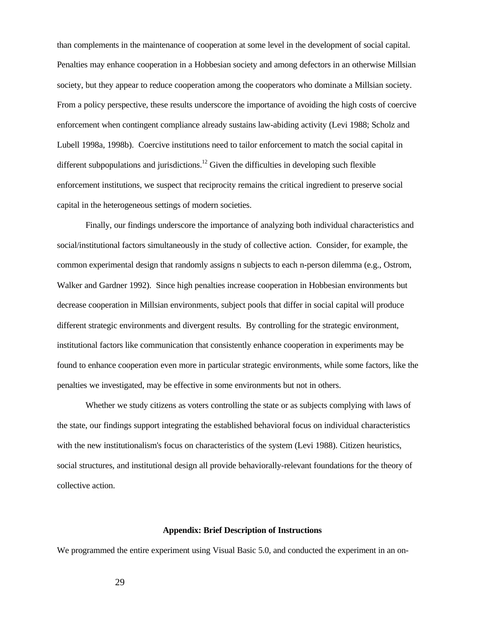than complements in the maintenance of cooperation at some level in the development of social capital. Penalties may enhance cooperation in a Hobbesian society and among defectors in an otherwise Millsian society, but they appear to reduce cooperation among the cooperators who dominate a Millsian society. From a policy perspective, these results underscore the importance of avoiding the high costs of coercive enforcement when contingent compliance already sustains law-abiding activity (Levi 1988; Scholz and Lubell 1998a, 1998b). Coercive institutions need to tailor enforcement to match the social capital in different subpopulations and jurisdictions.<sup>12</sup> Given the difficulties in developing such flexible enforcement institutions, we suspect that reciprocity remains the critical ingredient to preserve social capital in the heterogeneous settings of modern societies.

Finally, our findings underscore the importance of analyzing both individual characteristics and social/institutional factors simultaneously in the study of collective action. Consider, for example, the common experimental design that randomly assigns n subjects to each n-person dilemma (e.g., Ostrom, Walker and Gardner 1992). Since high penalties increase cooperation in Hobbesian environments but decrease cooperation in Millsian environments, subject pools that differ in social capital will produce different strategic environments and divergent results. By controlling for the strategic environment, institutional factors like communication that consistently enhance cooperation in experiments may be found to enhance cooperation even more in particular strategic environments, while some factors, like the penalties we investigated, may be effective in some environments but not in others.

Whether we study citizens as voters controlling the state or as subjects complying with laws of the state, our findings support integrating the established behavioral focus on individual characteristics with the new institutionalism's focus on characteristics of the system (Levi 1988). Citizen heuristics, social structures, and institutional design all provide behaviorally-relevant foundations for the theory of collective action.

### **Appendix: Brief Description of Instructions**

We programmed the entire experiment using Visual Basic 5.0, and conducted the experiment in an on-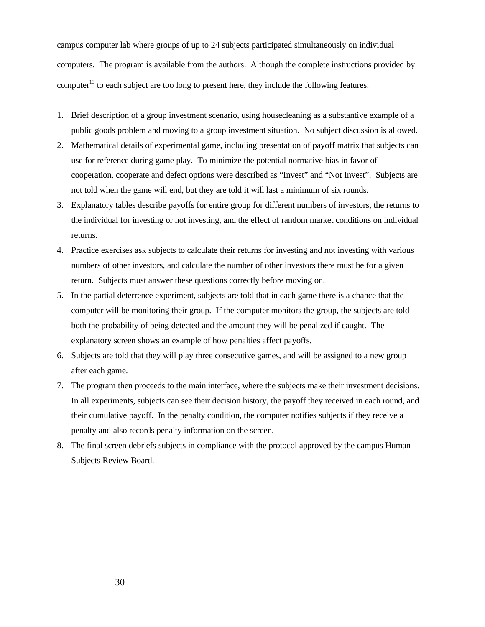campus computer lab where groups of up to 24 subjects participated simultaneously on individual computers. The program is available from the authors. Although the complete instructions provided by computer<sup>13</sup> to each subject are too long to present here, they include the following features:

- 1. Brief description of a group investment scenario, using housecleaning as a substantive example of a public goods problem and moving to a group investment situation. No subject discussion is allowed.
- 2. Mathematical details of experimental game, including presentation of payoff matrix that subjects can use for reference during game play. To minimize the potential normative bias in favor of cooperation, cooperate and defect options were described as "Invest" and "Not Invest". Subjects are not told when the game will end, but they are told it will last a minimum of six rounds.
- 3. Explanatory tables describe payoffs for entire group for different numbers of investors, the returns to the individual for investing or not investing, and the effect of random market conditions on individual returns.
- 4. Practice exercises ask subjects to calculate their returns for investing and not investing with various numbers of other investors, and calculate the number of other investors there must be for a given return. Subjects must answer these questions correctly before moving on.
- 5. In the partial deterrence experiment, subjects are told that in each game there is a chance that the computer will be monitoring their group. If the computer monitors the group, the subjects are told both the probability of being detected and the amount they will be penalized if caught. The explanatory screen shows an example of how penalties affect payoffs.
- 6. Subjects are told that they will play three consecutive games, and will be assigned to a new group after each game.
- 7. The program then proceeds to the main interface, where the subjects make their investment decisions. In all experiments, subjects can see their decision history, the payoff they received in each round, and their cumulative payoff. In the penalty condition, the computer notifies subjects if they receive a penalty and also records penalty information on the screen.
- 8. The final screen debriefs subjects in compliance with the protocol approved by the campus Human Subjects Review Board.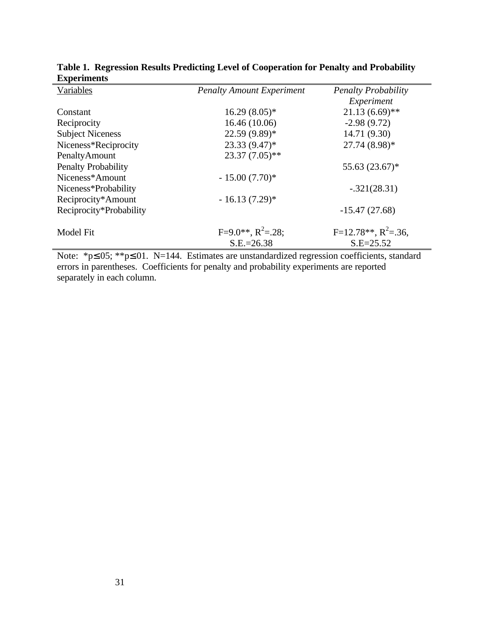| <b>Penalty Amount Experiment</b>        | <b>Penalty Probability</b>               |
|-----------------------------------------|------------------------------------------|
|                                         | Experiment                               |
| $16.29(8.05)*$                          | $21.13(6.69)$ **                         |
| 16.46 (10.06)                           | $-2.98(9.72)$                            |
| 22.59 (9.89)*                           | 14.71 (9.30)                             |
| $23.33(9.47)$ *                         | 27.74 (8.98)*                            |
| $23.37(7.05)$ **                        |                                          |
|                                         | 55.63 (23.67)*                           |
| $-15.00(7.70)$ *                        |                                          |
|                                         | $-.321(28.31)$                           |
| $-16.13(7.29)$ *                        |                                          |
|                                         | $-15.47(27.68)$                          |
| $F=9.0**$ , $R^2=.28$ ;<br>$S.E.=26.38$ | $F=12.78**$ , $R^2=.36$ ,<br>$S.E=25.52$ |
|                                         |                                          |

**Table 1. Regression Results Predicting Level of Cooperation for Penalty and Probability Experiments**

Note: \*p≤.05; \*\*p≤.01. N=144. Estimates are unstandardized regression coefficients, standard errors in parentheses. Coefficients for penalty and probability experiments are reported separately in each column.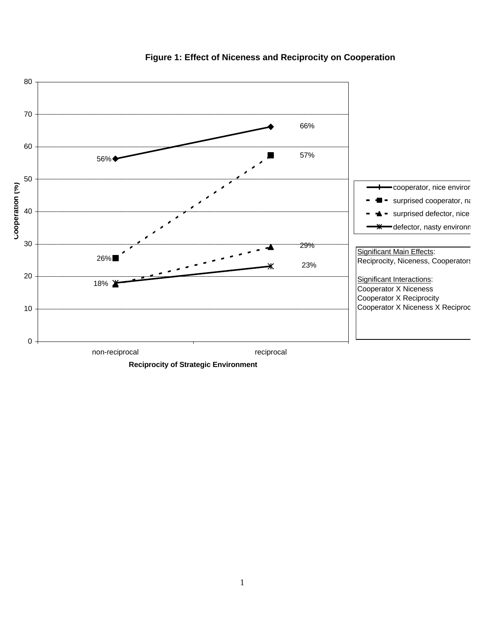

# **Figure 1: Effect of Niceness and Reciprocity on Cooperation**

**Reciprocity of Strategic Environment**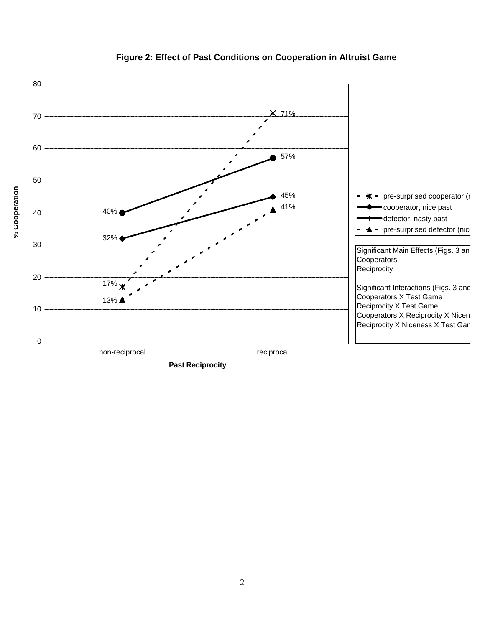

# **Figure 2: Effect of Past Conditions on Cooperation in Altruist Game**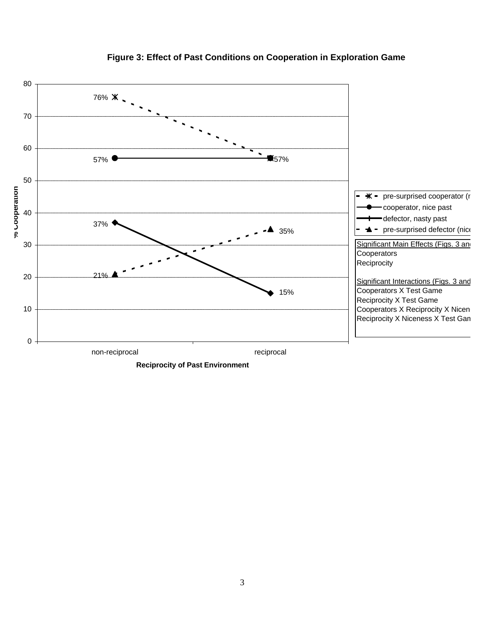

# **Figure 3: Effect of Past Conditions on Cooperation in Exploration Game**

**Reciprocity of Past Environment**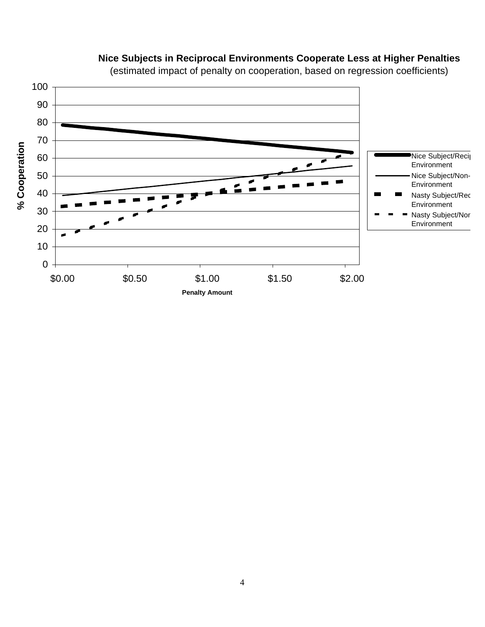

# **Nice Subjects in Reciprocal Environments Cooperate Less at Higher Penalties**

(estimated impact of penalty on cooperation, based on regression coefficients)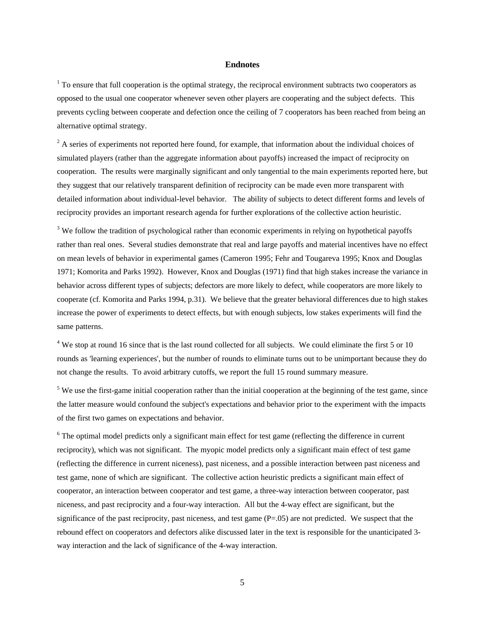#### **Endnotes**

 $1$  To ensure that full cooperation is the optimal strategy, the reciprocal environment subtracts two cooperators as opposed to the usual one cooperator whenever seven other players are cooperating and the subject defects. This prevents cycling between cooperate and defection once the ceiling of 7 cooperators has been reached from being an alternative optimal strategy.

 $2^2$  A series of experiments not reported here found, for example, that information about the individual choices of simulated players (rather than the aggregate information about payoffs) increased the impact of reciprocity on cooperation. The results were marginally significant and only tangential to the main experiments reported here, but they suggest that our relatively transparent definition of reciprocity can be made even more transparent with detailed information about individual-level behavior. The ability of subjects to detect different forms and levels of reciprocity provides an important research agenda for further explorations of the collective action heuristic.

 $3$  We follow the tradition of psychological rather than economic experiments in relying on hypothetical payoffs rather than real ones. Several studies demonstrate that real and large payoffs and material incentives have no effect on mean levels of behavior in experimental games (Cameron 1995; Fehr and Tougareva 1995; Knox and Douglas 1971; Komorita and Parks 1992). However, Knox and Douglas (1971) find that high stakes increase the variance in behavior across different types of subjects; defectors are more likely to defect, while cooperators are more likely to cooperate (cf. Komorita and Parks 1994, p.31). We believe that the greater behavioral differences due to high stakes increase the power of experiments to detect effects, but with enough subjects, low stakes experiments will find the same patterns.

 $4$  We stop at round 16 since that is the last round collected for all subjects. We could eliminate the first 5 or 10 rounds as 'learning experiences', but the number of rounds to eliminate turns out to be unimportant because they do not change the results. To avoid arbitrary cutoffs, we report the full 15 round summary measure.

 $<sup>5</sup>$  We use the first-game initial cooperation rather than the initial cooperation at the beginning of the test game, since</sup> the latter measure would confound the subject's expectations and behavior prior to the experiment with the impacts of the first two games on expectations and behavior.

<sup>6</sup> The optimal model predicts only a significant main effect for test game (reflecting the difference in current reciprocity), which was not significant. The myopic model predicts only a significant main effect of test game (reflecting the difference in current niceness), past niceness, and a possible interaction between past niceness and test game, none of which are significant. The collective action heuristic predicts a significant main effect of cooperator, an interaction between cooperator and test game, a three-way interaction between cooperator, past niceness, and past reciprocity and a four-way interaction. All but the 4-way effect are significant, but the significance of the past reciprocity, past niceness, and test game  $(P=.05)$  are not predicted. We suspect that the rebound effect on cooperators and defectors alike discussed later in the text is responsible for the unanticipated 3 way interaction and the lack of significance of the 4-way interaction.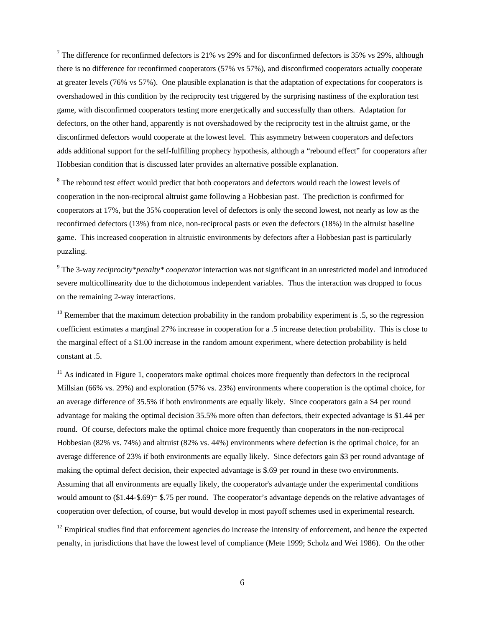<sup>7</sup> The difference for reconfirmed defectors is 21% vs 29% and for disconfirmed defectors is 35% vs 29%, although there is no difference for reconfirmed cooperators (57% vs 57%), and disconfirmed cooperators actually cooperate at greater levels (76% vs 57%). One plausible explanation is that the adaptation of expectations for cooperators is overshadowed in this condition by the reciprocity test triggered by the surprising nastiness of the exploration test game, with disconfirmed cooperators testing more energetically and successfully than others. Adaptation for defectors, on the other hand, apparently is not overshadowed by the reciprocity test in the altruist game, or the disconfirmed defectors would cooperate at the lowest level. This asymmetry between cooperators and defectors adds additional support for the self-fulfilling prophecy hypothesis, although a "rebound effect" for cooperators after Hobbesian condition that is discussed later provides an alternative possible explanation.

<sup>8</sup> The rebound test effect would predict that both cooperators and defectors would reach the lowest levels of cooperation in the non-reciprocal altruist game following a Hobbesian past. The prediction is confirmed for cooperators at 17%, but the 35% cooperation level of defectors is only the second lowest, not nearly as low as the reconfirmed defectors (13%) from nice, non-reciprocal pasts or even the defectors (18%) in the altruist baseline game. This increased cooperation in altruistic environments by defectors after a Hobbesian past is particularly puzzling.

9 The 3-way *reciprocity\*penalty\* cooperator* interaction was not significant in an unrestricted model and introduced severe multicollinearity due to the dichotomous independent variables. Thus the interaction was dropped to focus on the remaining 2-way interactions.

 $10$  Remember that the maximum detection probability in the random probability experiment is .5, so the regression coefficient estimates a marginal 27% increase in cooperation for a .5 increase detection probability. This is close to the marginal effect of a \$1.00 increase in the random amount experiment, where detection probability is held constant at .5.

 $11$  As indicated in Figure 1, cooperators make optimal choices more frequently than defectors in the reciprocal Millsian (66% vs. 29%) and exploration (57% vs. 23%) environments where cooperation is the optimal choice, for an average difference of 35.5% if both environments are equally likely. Since cooperators gain a \$4 per round advantage for making the optimal decision 35.5% more often than defectors, their expected advantage is \$1.44 per round. Of course, defectors make the optimal choice more frequently than cooperators in the non-reciprocal Hobbesian (82% vs. 74%) and altruist (82% vs. 44%) environments where defection is the optimal choice, for an average difference of 23% if both environments are equally likely. Since defectors gain \$3 per round advantage of making the optimal defect decision, their expected advantage is \$.69 per round in these two environments. Assuming that all environments are equally likely, the cooperator's advantage under the experimental conditions would amount to (\$1.44-\$.69)= \$.75 per round. The cooperator's advantage depends on the relative advantages of cooperation over defection, of course, but would develop in most payoff schemes used in experimental research.

 $12$  Empirical studies find that enforcement agencies do increase the intensity of enforcement, and hence the expected penalty, in jurisdictions that have the lowest level of compliance (Mete 1999; Scholz and Wei 1986). On the other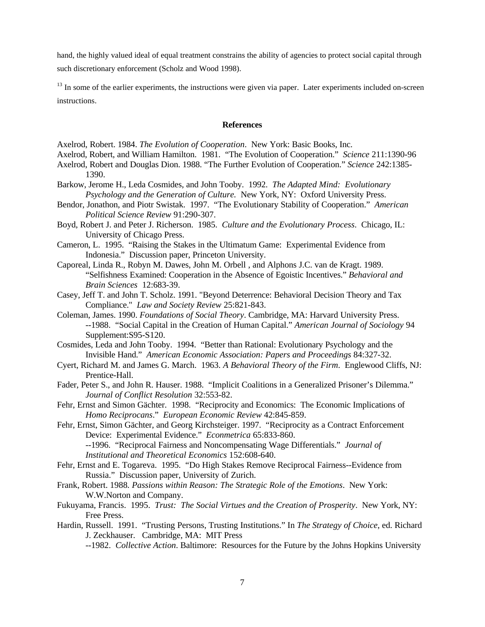hand, the highly valued ideal of equal treatment constrains the ability of agencies to protect social capital through such discretionary enforcement (Scholz and Wood 1998).

<sup>13</sup> In some of the earlier experiments, the instructions were given via paper. Later experiments included on-screen instructions.

#### **References**

Axelrod, Robert. 1984. *The Evolution of Cooperation*. New York: Basic Books, Inc.

Axelrod, Robert, and William Hamilton. 1981. "The Evolution of Cooperation." *Science* 211:1390-96

- Axelrod, Robert and Douglas Dion. 1988. "The Further Evolution of Cooperation." *Science* 242:1385- 1390.
- Barkow, Jerome H., Leda Cosmides, and John Tooby. 1992. *The Adapted Mind: Evolutionary Psychology and the Generation of Culture.* New York, NY: Oxford University Press.
- Bendor, Jonathon, and Piotr Swistak. 1997. "The Evolutionary Stability of Cooperation." *American Political Science Review* 91:290-307.
- Boyd, Robert J. and Peter J. Richerson. 1985. *Culture and the Evolutionary Process*. Chicago, IL: University of Chicago Press.
- Cameron, L. 1995. "Raising the Stakes in the Ultimatum Game: Experimental Evidence from Indonesia." Discussion paper, Princeton University.
- Caporeal, Linda R., Robyn M. Dawes, John M. Orbell , and Alphons J.C. van de Kragt. 1989. "Selfishness Examined: Cooperation in the Absence of Egoistic Incentives." *Behavioral and Brain Sciences* 12:683-39.
- Casey, Jeff T. and John T. Scholz. 1991. "Beyond Deterrence: Behavioral Decision Theory and Tax Compliance." *Law and Society Review* 25:821-843.
- Coleman, James. 1990. *Foundations of Social Theory*. Cambridge, MA: Harvard University Press. --1988. "Social Capital in the Creation of Human Capital." *American Journal of Sociology* 94 Supplement:S95-S120.
- Cosmides, Leda and John Tooby. 1994. "Better than Rational: Evolutionary Psychology and the Invisible Hand." *American Economic Association: Papers and Proceedings* 84:327-32.
- Cyert, Richard M. and James G. March. 1963. *A Behavioral Theory of the Firm*. Englewood Cliffs, NJ: Prentice-Hall.
- Fader, Peter S., and John R. Hauser. 1988. "Implicit Coalitions in a Generalized Prisoner's Dilemma." *Journal of Conflict Resolution* 32:553-82.
- Fehr, Ernst and Simon Gächter. 1998. "Reciprocity and Economics: The Economic Implications of *Homo Reciprocans*." *European Economic Review* 42:845-859.
- Fehr, Ernst, Simon Gächter, and Georg Kirchsteiger. 1997. "Reciprocity as a Contract Enforcement Device: Experimental Evidence." *Econmetrica* 65:833-860. --1996. "Reciprocal Fairness and Noncompensating Wage Differentials." *Journal of Institutional and Theoretical Economics* 152:608-640.
- Fehr, Ernst and E. Togareva. 1995. "Do High Stakes Remove Reciprocal Fairness--Evidence from Russia." Discussion paper, University of Zurich.
- Frank, Robert. 1988*. Passions within Reason: The Strategic Role of the Emotions*. New York: W.W.Norton and Company.
- Fukuyama, Francis. 1995. *Trust: The Social Virtues and the Creation of Prosperity*. New York, NY: Free Press.
- Hardin, Russell. 1991. "Trusting Persons, Trusting Institutions." In *The Strategy of Choice*, ed. Richard J. Zeckhauser. Cambridge, MA: MIT Press

--1982. *Collective Action*. Baltimore: Resources for the Future by the Johns Hopkins University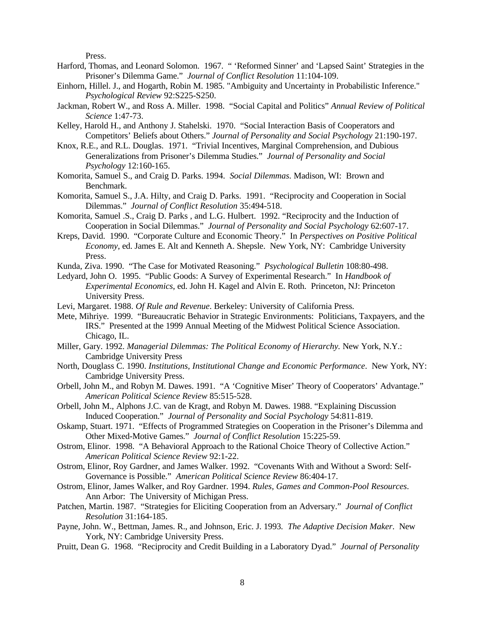Press.

- Harford, Thomas, and Leonard Solomon. 1967. " 'Reformed Sinner' and 'Lapsed Saint' Strategies in the Prisoner's Dilemma Game." *Journal of Conflict Resolution* 11:104-109.
- Einhorn, Hillel. J., and Hogarth, Robin M. 1985. "Ambiguity and Uncertainty in Probabilistic Inference." *Psychological Review* 92:S225-S250.
- Jackman, Robert W., and Ross A. Miller. 1998. "Social Capital and Politics" *Annual Review of Political Science* 1:47-73.
- Kelley, Harold H., and Anthony J. Stahelski. 1970. "Social Interaction Basis of Cooperators and Competitors' Beliefs about Others." *Journal of Personality and Social Psychology* 21:190-197.
- Knox, R.E., and R.L. Douglas. 1971. "Trivial Incentives, Marginal Comprehension, and Dubious Generalizations from Prisoner's Dilemma Studies." *Journal of Personality and Social Psychology* 12:160-165.
- Komorita, Samuel S., and Craig D. Parks. 1994. *Social Dilemmas.* Madison, WI: Brown and Benchmark.
- Komorita, Samuel S., J.A. Hilty, and Craig D. Parks. 1991. "Reciprocity and Cooperation in Social Dilemmas." *Journal of Conflict Resolution* 35:494-518.
- Komorita, Samuel .S., Craig D. Parks , and L.G. Hulbert. 1992. "Reciprocity and the Induction of Cooperation in Social Dilemmas." *Journal of Personality and Social Psychology* 62:607-17.
- Kreps, David. 1990. "Corporate Culture and Economic Theory." In *Perspectives on Positive Political Economy*, ed. James E. Alt and Kenneth A. Shepsle. New York, NY: Cambridge University Press.
- Kunda, Ziva. 1990. "The Case for Motivated Reasoning." *Psychological Bulletin* 108:80-498.
- Ledyard, John O. 1995. "Public Goods: A Survey of Experimental Research." In *Handbook of Experimental Economics*, ed. John H. Kagel and Alvin E. Roth. Princeton, NJ: Princeton University Press.
- Levi, Margaret. 1988. *Of Rule and Revenue*. Berkeley: University of California Press.
- Mete, Mihriye. 1999. "Bureaucratic Behavior in Strategic Environments: Politicians, Taxpayers, and the IRS." Presented at the 1999 Annual Meeting of the Midwest Political Science Association. Chicago, IL.
- Miller, Gary. 1992. *Managerial Dilemmas: The Political Economy of Hierarchy.* New York, N.Y.: Cambridge University Press
- North, Douglass C. 1990. *Institutions, Institutional Change and Economic Performance*. New York, NY: Cambridge University Press.
- Orbell, John M., and Robyn M. Dawes. 1991. "A 'Cognitive Miser' Theory of Cooperators' Advantage." *American Political Science Review* 85:515-528.
- Orbell, John M., Alphons J.C. van de Kragt, and Robyn M. Dawes. 1988. "Explaining Discussion Induced Cooperation." *Journal of Personality and Social Psychology* 54:811-819.
- Oskamp, Stuart. 1971. "Effects of Programmed Strategies on Cooperation in the Prisoner's Dilemma and Other Mixed-Motive Games." *Journal of Conflict Resolution* 15:225-59.
- Ostrom, Elinor. 1998. "A Behavioral Approach to the Rational Choice Theory of Collective Action." *American Political Science Review* 92:1-22.
- Ostrom, Elinor, Roy Gardner, and James Walker. 1992. "Covenants With and Without a Sword: Self-Governance is Possible." *American Political Science Review* 86:404-17.
- Ostrom, Elinor, James Walker, and Roy Gardner. 1994. *Rules, Games and Common-Pool Resources*. Ann Arbor: The University of Michigan Press.
- Patchen, Martin. 1987. "Strategies for Eliciting Cooperation from an Adversary." *Journal of Conflict Resolution* 31:164-185.
- Payne, John. W., Bettman, James. R., and Johnson, Eric. J. 1993*. The Adaptive Decision Maker*. New York, NY: Cambridge University Press.
- Pruitt, Dean G. 1968. "Reciprocity and Credit Building in a Laboratory Dyad." *Journal of Personality*